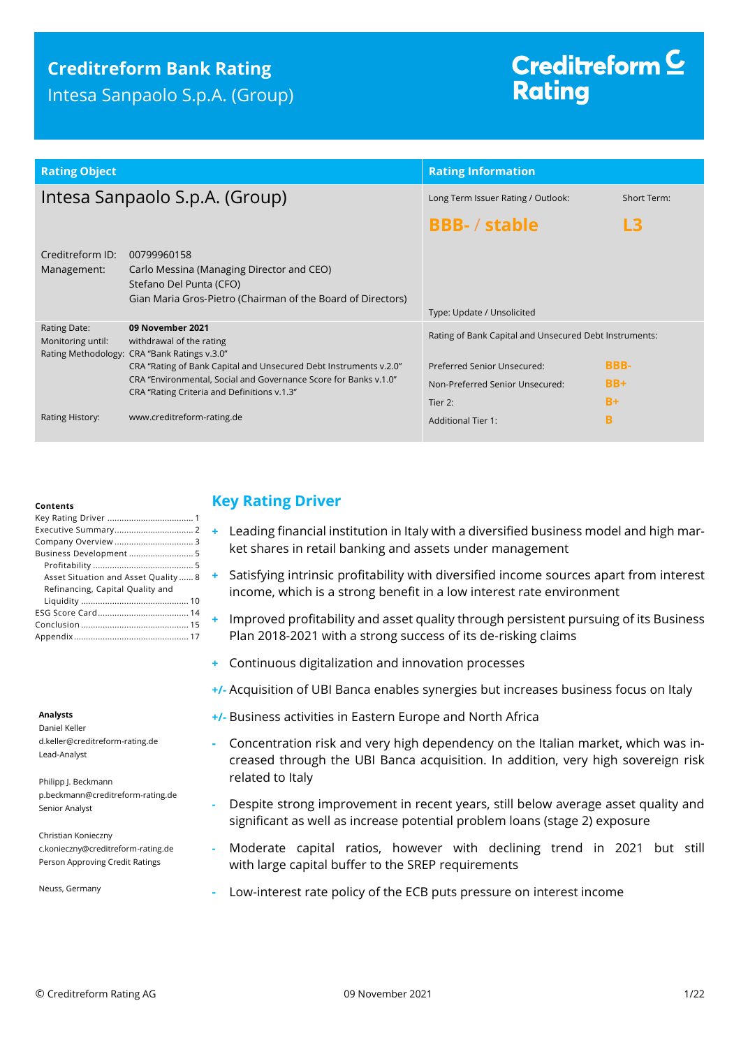# **Creditreform Bank Rating**

Intesa Sanpaolo S.p.A. (Group)

# Creditreform<sup>C</sup> **Rating**

| <b>Rating Object</b>              |                                                                                                                                                                                                                                                                                      | <b>Rating Information</b>                                                                                                           |                              |
|-----------------------------------|--------------------------------------------------------------------------------------------------------------------------------------------------------------------------------------------------------------------------------------------------------------------------------------|-------------------------------------------------------------------------------------------------------------------------------------|------------------------------|
| Intesa Sanpaolo S.p.A. (Group)    |                                                                                                                                                                                                                                                                                      | Long Term Issuer Rating / Outlook:                                                                                                  | Short Term:                  |
|                                   |                                                                                                                                                                                                                                                                                      | <b>BBB-/stable</b>                                                                                                                  | L3                           |
| Creditreform ID:<br>Management:   | 00799960158<br>Carlo Messina (Managing Director and CEO)<br>Stefano Del Punta (CFO)<br>Gian Maria Gros-Pietro (Chairman of the Board of Directors)                                                                                                                                   | Type: Update / Unsolicited                                                                                                          |                              |
| Rating Date:<br>Monitoring until: | 09 November 2021<br>withdrawal of the rating<br>Rating Methodology: CRA "Bank Ratings v.3.0"<br>CRA "Rating of Bank Capital and Unsecured Debt Instruments v.2.0"<br>CRA "Environmental, Social and Governance Score for Banks v.1.0"<br>CRA "Rating Criteria and Definitions v.1.3" | Rating of Bank Capital and Unsecured Debt Instruments:<br>Preferred Senior Unsecured:<br>Non-Preferred Senior Unsecured:<br>Tier 2: | <b>BBB-</b><br>$BB+$<br>$B+$ |
| Rating History:                   | www.creditreform-rating.de                                                                                                                                                                                                                                                           | <b>Additional Tier 1:</b>                                                                                                           | B                            |

#### **Contents**

| Business Development 5              |
|-------------------------------------|
|                                     |
| Asset Situation and Asset Quality 8 |
| Refinancing, Capital Quality and    |
|                                     |
|                                     |
|                                     |
|                                     |

#### **Analysts**

Daniel Keller d.keller@creditreform-rating.de Lead-Analyst

Philipp J. Beckmann p.beckmann@creditreform-rating.de Senior Analyst

Christian Konieczny c.konieczny@creditreform-rating.de Person Approving Credit Ratings

Neuss, Germany

# <span id="page-0-0"></span>**Key Rating Driver**

- **+** Leading financial institution in Italy with a diversified business model and high market shares in retail banking and assets under management
- **+** Satisfying intrinsic profitability with diversified income sources apart from interest income, which is a strong benefit in a low interest rate environment
- **+** Improved profitability and asset quality through persistent pursuing of its Business Plan 2018-2021 with a strong success of its de-risking claims
- **+** Continuous digitalization and innovation processes
- **+/-** Acquisition of UBI Banca enables synergies but increases business focus on Italy
- **+/-** Business activities in Eastern Europe and North Africa
- **-** Concentration risk and very high dependency on the Italian market, which was increased through the UBI Banca acquisition. In addition, very high sovereign risk related to Italy
- **-** Despite strong improvement in recent years, still below average asset quality and significant as well as increase potential problem loans (stage 2) exposure
- **-** Moderate capital ratios, however with declining trend in 2021 but still with large capital buffer to the SREP requirements
- **-** Low-interest rate policy of the ECB puts pressure on interest income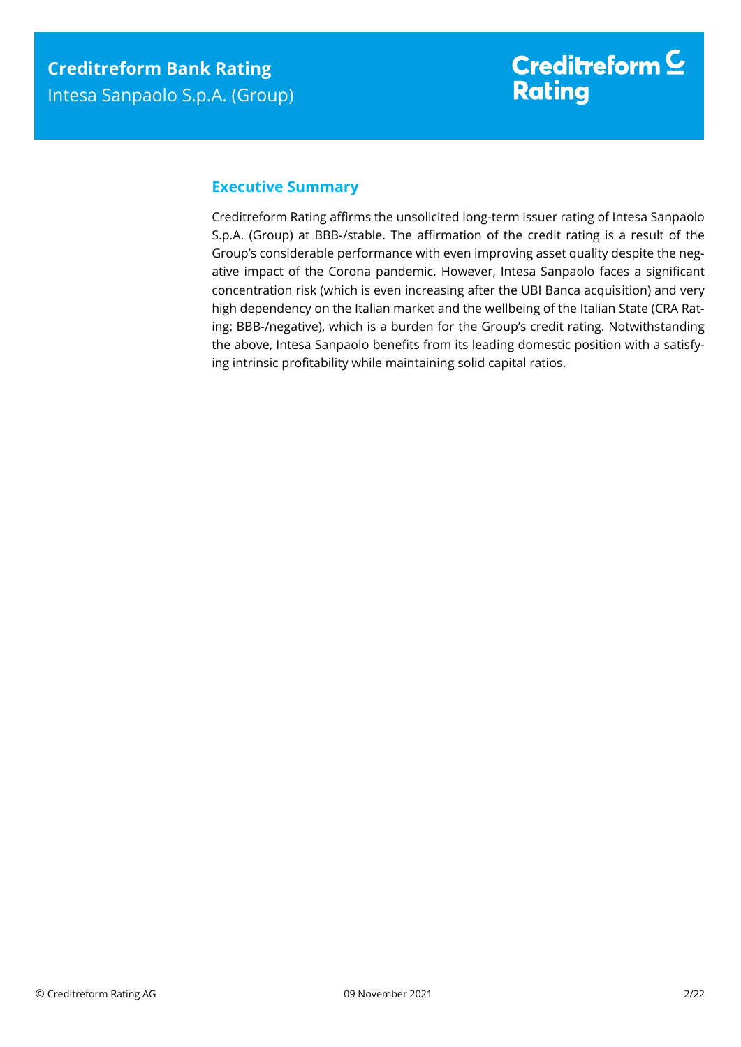## <span id="page-1-0"></span>**Executive Summary**

Creditreform Rating affirms the unsolicited long-term issuer rating of Intesa Sanpaolo S.p.A. (Group) at BBB-/stable. The affirmation of the credit rating is a result of the Group's considerable performance with even improving asset quality despite the negative impact of the Corona pandemic. However, Intesa Sanpaolo faces a significant concentration risk (which is even increasing after the UBI Banca acquisition) and very high dependency on the Italian market and the wellbeing of the Italian State (CRA Rating: BBB-/negative), which is a burden for the Group's credit rating. Notwithstanding the above, Intesa Sanpaolo benefits from its leading domestic position with a satisfying intrinsic profitability while maintaining solid capital ratios.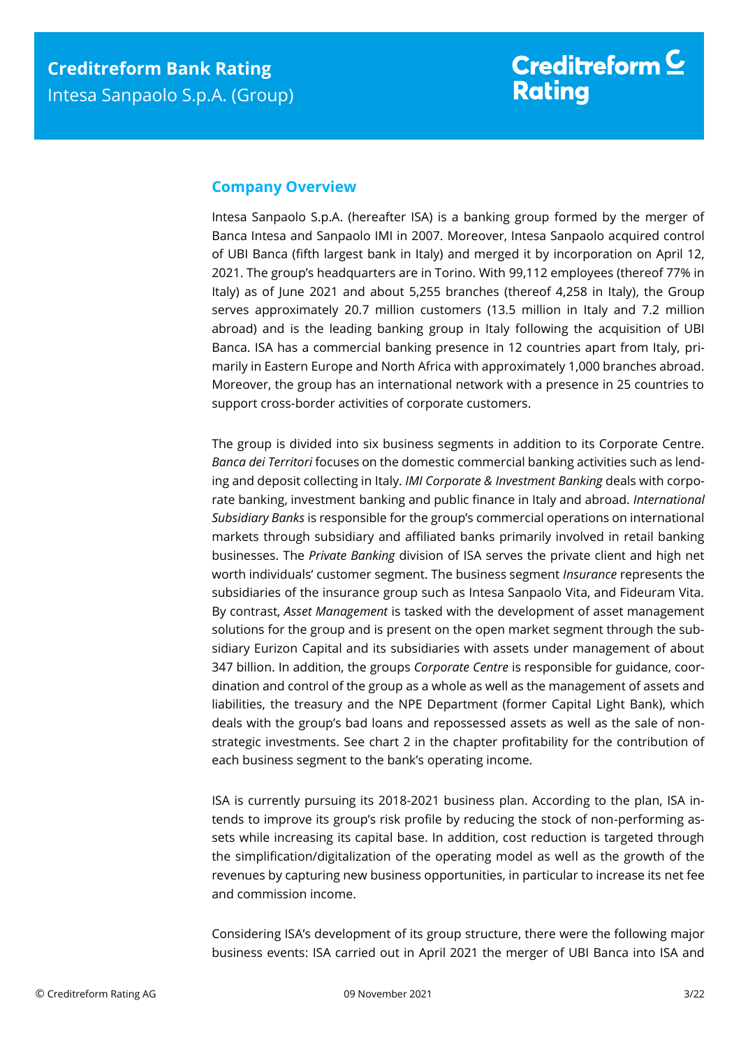### <span id="page-2-0"></span>**Company Overview**

Intesa Sanpaolo S.p.A. (hereafter ISA) is a banking group formed by the merger of Banca Intesa and Sanpaolo IMI in 2007. Moreover, Intesa Sanpaolo acquired control of UBI Banca (fifth largest bank in Italy) and merged it by incorporation on April 12, 2021. The group's headquarters are in Torino. With 99,112 employees (thereof 77% in Italy) as of June 2021 and about 5,255 branches (thereof 4,258 in Italy), the Group serves approximately 20.7 million customers (13.5 million in Italy and 7.2 million abroad) and is the leading banking group in Italy following the acquisition of UBI Banca. ISA has a commercial banking presence in 12 countries apart from Italy, primarily in Eastern Europe and North Africa with approximately 1,000 branches abroad. Moreover, the group has an international network with a presence in 25 countries to support cross-border activities of corporate customers.

The group is divided into six business segments in addition to its Corporate Centre. *Banca dei Territori* focuses on the domestic commercial banking activities such as lending and deposit collecting in Italy. *IMI Corporate & Investment Banking* deals with corporate banking, investment banking and public finance in Italy and abroad. *International Subsidiary Banks* is responsible for the group's commercial operations on international markets through subsidiary and affiliated banks primarily involved in retail banking businesses. The *Private Banking* division of ISA serves the private client and high net worth individuals' customer segment. The business segment *Insurance* represents the subsidiaries of the insurance group such as Intesa Sanpaolo Vita, and Fideuram Vita. By contrast, *Asset Management* is tasked with the development of asset management solutions for the group and is present on the open market segment through the subsidiary Eurizon Capital and its subsidiaries with assets under management of about 347 billion. In addition, the groups *Corporate Centre* is responsible for guidance, coordination and control of the group as a whole as well as the management of assets and liabilities, the treasury and the NPE Department (former Capital Light Bank), which deals with the group's bad loans and repossessed assets as well as the sale of nonstrategic investments. See chart 2 in the chapter profitability for the contribution of each business segment to the bank's operating income.

ISA is currently pursuing its 2018-2021 business plan. According to the plan, ISA intends to improve its group's risk profile by reducing the stock of non-performing assets while increasing its capital base. In addition, cost reduction is targeted through the simplification/digitalization of the operating model as well as the growth of the revenues by capturing new business opportunities, in particular to increase its net fee and commission income.

Considering ISA's development of its group structure, there were the following major business events: ISA carried out in April 2021 the merger of UBI Banca into ISA and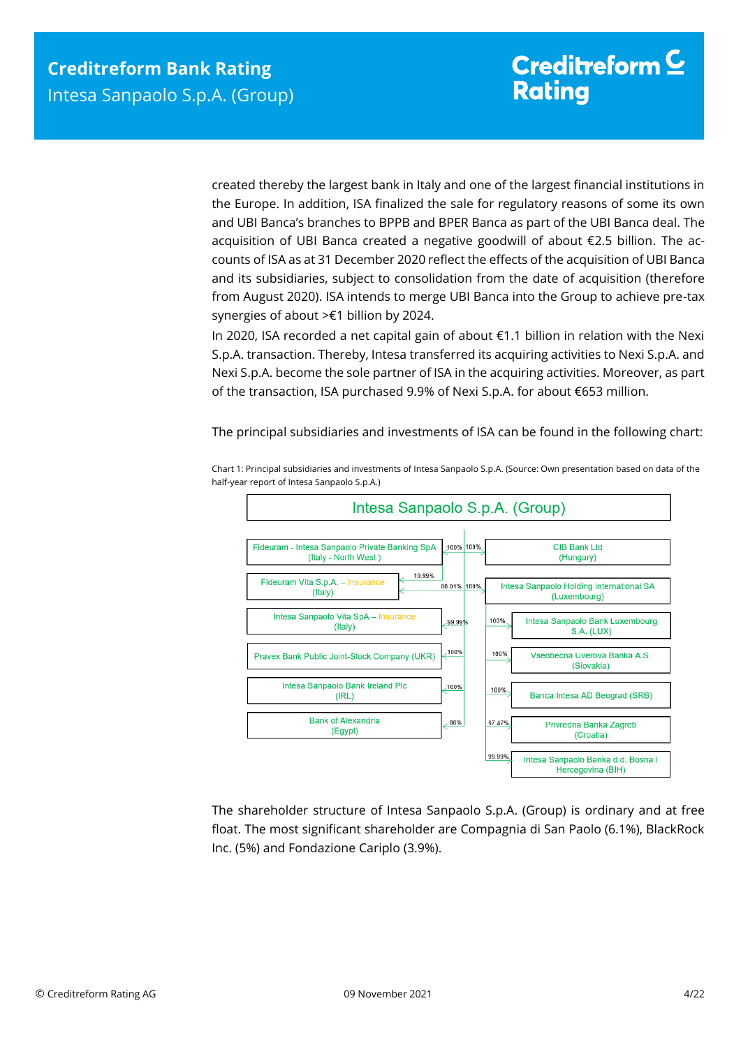created thereby the largest bank in Italy and one of the largest financial institutions in the Europe. In addition, ISA finalized the sale for regulatory reasons of some its own and UBI Banca's branches to BPPB and BPER Banca as part of the UBI Banca deal. The acquisition of UBI Banca created a negative goodwill of about €2.5 billion. The accounts of ISA as at 31 December 2020 reflect the effects of the acquisition of UBI Banca and its subsidiaries, subject to consolidation from the date of acquisition (therefore from August 2020). ISA intends to merge UBI Banca into the Group to achieve pre-tax synergies of about >€1 billion by 2024.

In 2020, ISA recorded a net capital gain of about €1.1 billion in relation with the Nexi S.p.A. transaction. Thereby, Intesa transferred its acquiring activities to Nexi S.p.A. and Nexi S.p.A. become the sole partner of ISA in the acquiring activities. Moreover, as part of the transaction, ISA purchased 9.9% of Nexi S.p.A. for about €653 million.

The principal subsidiaries and investments of ISA can be found in the following chart:



Chart 1: Principal subsidiaries and investments of Intesa Sanpaolo S.p.A. (Source: Own presentation based on data of the half-year report of Intesa Sanpaolo S.p.A.)

The shareholder structure of Intesa Sanpaolo S.p.A. (Group) is ordinary and at free float. The most significant shareholder are Compagnia di San Paolo (6.1%), BlackRock Inc. (5%) and Fondazione Cariplo (3.9%).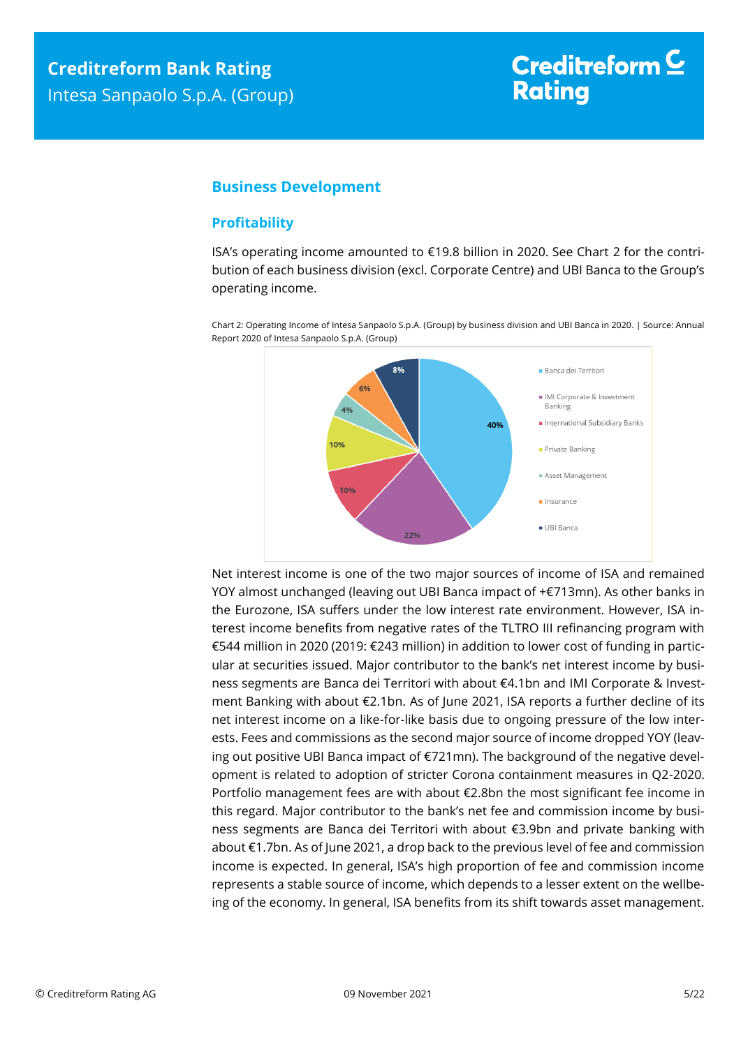## <span id="page-4-0"></span>**Business Development**

#### <span id="page-4-1"></span>**Profitability**

ISA's operating income amounted to €19.8 billion in 2020. See Chart 2 for the contribution of each business division (excl. Corporate Centre) and UBI Banca to the Group's operating income.

Chart 2: Operating Income of Intesa Sanpaolo S.p.A. (Group) by business division and UBI Banca in 2020. | Source: Annual

Report 2020 of Intesa Sanpaolo S.p.A. (Group)  $8%$ Banca dei Territori  $69/$ IMI Corporate & Investment Banking  $4%$ International Subsidiary Banks 40% 10% Private Banking Asset Management  $10%$ linsurance UBLBanca 22%

Net interest income is one of the two major sources of income of ISA and remained YOY almost unchanged (leaving out UBI Banca impact of +€713mn). As other banks in the Eurozone, ISA suffers under the low interest rate environment. However, ISA interest income benefits from negative rates of the TLTRO III refinancing program with €544 million in 2020 (2019: €243 million) in addition to lower cost of funding in particular at securities issued. Major contributor to the bank's net interest income by business segments are Banca dei Territori with about €4.1bn and IMI Corporate & Investment Banking with about €2.1bn. As of June 2021, ISA reports a further decline of its net interest income on a like-for-like basis due to ongoing pressure of the low interests. Fees and commissions as the second major source of income dropped YOY (leaving out positive UBI Banca impact of €721mn). The background of the negative development is related to adoption of stricter Corona containment measures in Q2-2020. Portfolio management fees are with about €2.8bn the most significant fee income in this regard. Major contributor to the bank's net fee and commission income by business segments are Banca dei Territori with about €3.9bn and private banking with about €1.7bn. As of June 2021, a drop back to the previous level of fee and commission income is expected. In general, ISA's high proportion of fee and commission income represents a stable source of income, which depends to a lesser extent on the wellbeing of the economy. In general, ISA benefits from its shift towards asset management.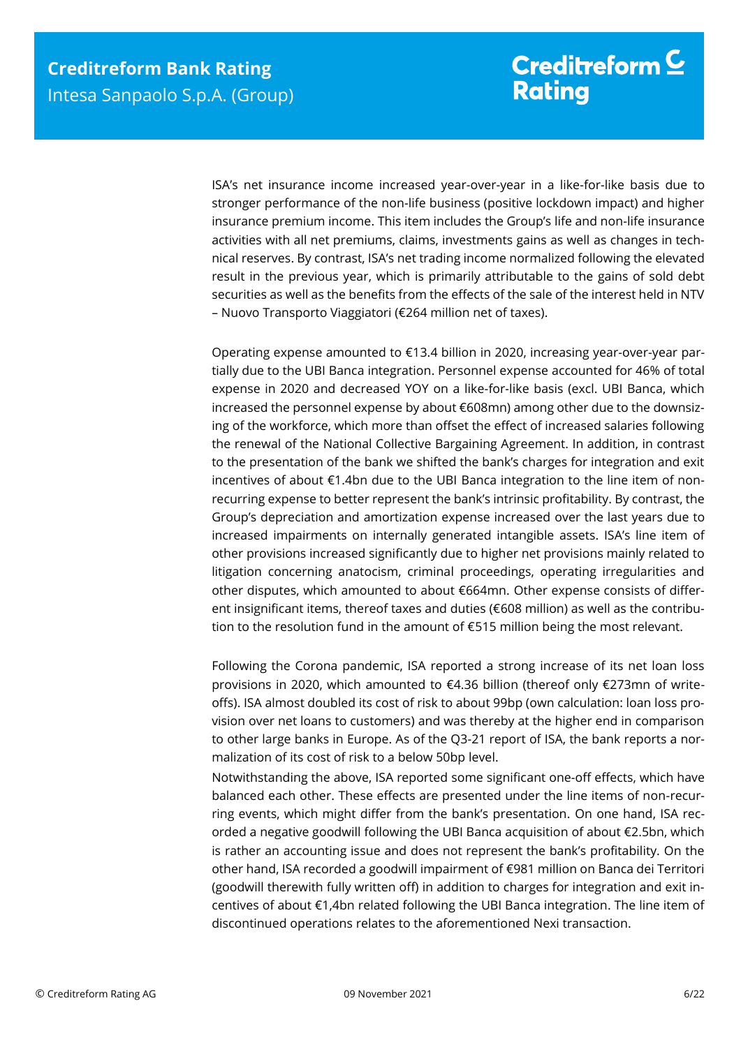ISA's net insurance income increased year-over-year in a like-for-like basis due to stronger performance of the non-life business (positive lockdown impact) and higher insurance premium income. This item includes the Group's life and non-life insurance activities with all net premiums, claims, investments gains as well as changes in technical reserves. By contrast, ISA's net trading income normalized following the elevated result in the previous year, which is primarily attributable to the gains of sold debt securities as well as the benefits from the effects of the sale of the interest held in NTV – Nuovo Transporto Viaggiatori (€264 million net of taxes).

Operating expense amounted to €13.4 billion in 2020, increasing year-over-year partially due to the UBI Banca integration. Personnel expense accounted for 46% of total expense in 2020 and decreased YOY on a like-for-like basis (excl. UBI Banca, which increased the personnel expense by about €608mn) among other due to the downsizing of the workforce, which more than offset the effect of increased salaries following the renewal of the National Collective Bargaining Agreement. In addition, in contrast to the presentation of the bank we shifted the bank's charges for integration and exit incentives of about €1.4bn due to the UBI Banca integration to the line item of nonrecurring expense to better represent the bank's intrinsic profitability. By contrast, the Group's depreciation and amortization expense increased over the last years due to increased impairments on internally generated intangible assets. ISA's line item of other provisions increased significantly due to higher net provisions mainly related to litigation concerning anatocism, criminal proceedings, operating irregularities and other disputes, which amounted to about €664mn. Other expense consists of different insignificant items, thereof taxes and duties (€608 million) as well as the contribution to the resolution fund in the amount of €515 million being the most relevant.

Following the Corona pandemic, ISA reported a strong increase of its net loan loss provisions in 2020, which amounted to €4.36 billion (thereof only €273mn of writeoffs). ISA almost doubled its cost of risk to about 99bp (own calculation: loan loss provision over net loans to customers) and was thereby at the higher end in comparison to other large banks in Europe. As of the Q3-21 report of ISA, the bank reports a normalization of its cost of risk to a below 50bp level.

Notwithstanding the above, ISA reported some significant one-off effects, which have balanced each other. These effects are presented under the line items of non-recurring events, which might differ from the bank's presentation. On one hand, ISA recorded a negative goodwill following the UBI Banca acquisition of about €2.5bn, which is rather an accounting issue and does not represent the bank's profitability. On the other hand, ISA recorded a goodwill impairment of €981 million on Banca dei Territori (goodwill therewith fully written off) in addition to charges for integration and exit incentives of about €1,4bn related following the UBI Banca integration. The line item of discontinued operations relates to the aforementioned Nexi transaction.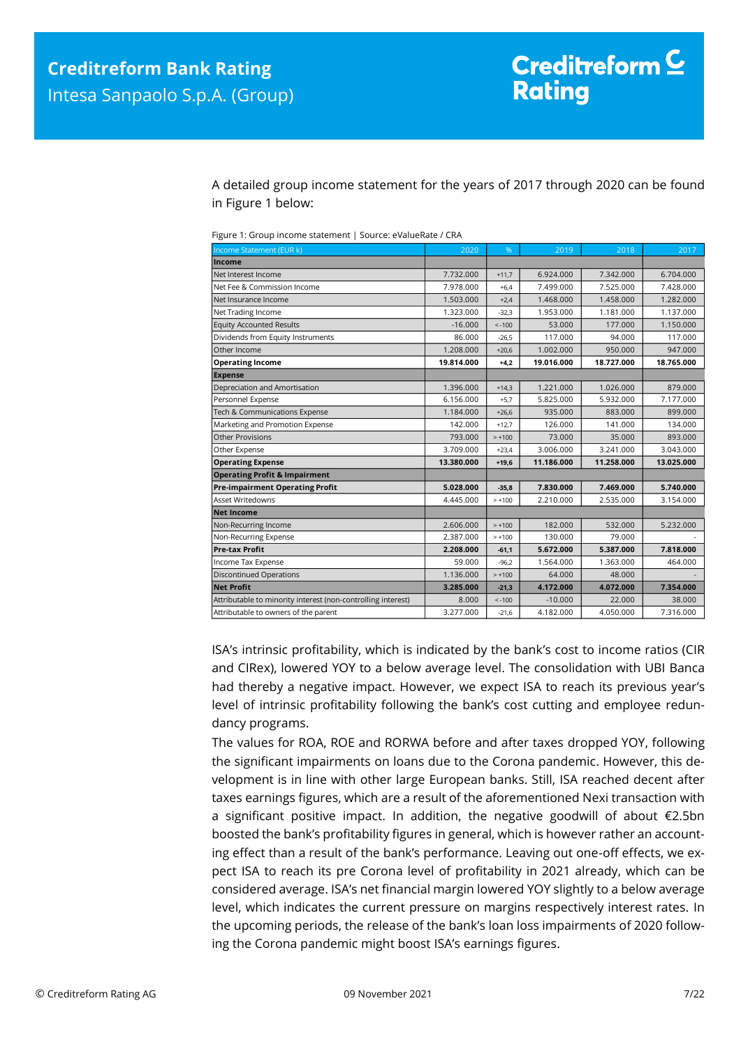A detailed group income statement for the years of 2017 through 2020 can be found in Figure 1 below:

| Income Statement (EUR k)                                     | 2020       | %        | 2019       | 2018       | 2017       |
|--------------------------------------------------------------|------------|----------|------------|------------|------------|
| Income                                                       |            |          |            |            |            |
| Net Interest Income                                          | 7.732.000  | $+11,7$  | 6.924.000  | 7.342.000  | 6.704.000  |
| Net Fee & Commission Income                                  | 7.978.000  | $+6,4$   | 7.499.000  | 7.525.000  | 7.428.000  |
| Net Insurance Income                                         | 1.503.000  | $+2,4$   | 1.468.000  | 1.458.000  | 1.282.000  |
| Net Trading Income                                           | 1.323.000  | $-32,3$  | 1.953.000  | 1.181.000  | 1.137.000  |
| <b>Equity Accounted Results</b>                              | $-16.000$  | $< -100$ | 53.000     | 177,000    | 1.150.000  |
| Dividends from Equity Instruments                            | 86.000     | $-26.5$  | 117.000    | 94.000     | 117.000    |
| Other Income                                                 | 1.208.000  | $+20,6$  | 1.002.000  | 950.000    | 947.000    |
| <b>Operating Income</b>                                      | 19.814.000 | $+4,2$   | 19.016.000 | 18.727.000 | 18.765.000 |
| <b>Expense</b>                                               |            |          |            |            |            |
| Depreciation and Amortisation                                | 1.396.000  | $+14,3$  | 1.221.000  | 1.026.000  | 879,000    |
| Personnel Expense                                            | 6.156.000  | $+5,7$   | 5.825.000  | 5.932.000  | 7.177.000  |
| Tech & Communications Expense                                | 1.184.000  | $+26,6$  | 935.000    | 883.000    | 899.000    |
| Marketing and Promotion Expense                              | 142.000    | $+12.7$  | 126.000    | 141.000    | 134.000    |
| Other Provisions                                             | 793.000    | $> +100$ | 73,000     | 35,000     | 893.000    |
| Other Expense                                                | 3.709.000  | $+23,4$  | 3.006.000  | 3.241.000  | 3.043.000  |
| <b>Operating Expense</b>                                     | 13.380.000 | $+19.6$  | 11.186.000 | 11.258.000 | 13.025.000 |
| <b>Operating Profit &amp; Impairment</b>                     |            |          |            |            |            |
| <b>Pre-impairment Operating Profit</b>                       | 5.028.000  | $-35,8$  | 7.830.000  | 7.469.000  | 5.740.000  |
| <b>Asset Writedowns</b>                                      | 4.445.000  | $> +100$ | 2.210.000  | 2.535.000  | 3.154.000  |
| <b>Net Income</b>                                            |            |          |            |            |            |
| Non-Recurring Income                                         | 2.606.000  | $> +100$ | 182.000    | 532.000    | 5.232.000  |
| Non-Recurring Expense                                        | 2.387.000  | $> +100$ | 130.000    | 79.000     |            |
| <b>Pre-tax Profit</b>                                        | 2.208.000  | $-61,1$  | 5.672.000  | 5.387.000  | 7.818.000  |
| Income Tax Expense                                           | 59.000     | $-96,2$  | 1.564.000  | 1.363.000  | 464.000    |
| <b>Discontinued Operations</b>                               | 1.136.000  | $> +100$ | 64.000     | 48.000     |            |
| <b>Net Profit</b>                                            | 3.285.000  | $-21,3$  | 4.172.000  | 4.072.000  | 7.354.000  |
| Attributable to minority interest (non-controlling interest) | 8.000      | $< -100$ | $-10,000$  | 22,000     | 38,000     |
| Attributable to owners of the parent                         | 3.277.000  | $-21,6$  | 4.182.000  | 4.050.000  | 7.316.000  |

ISA's intrinsic profitability, which is indicated by the bank's cost to income ratios (CIR and CIRex), lowered YOY to a below average level. The consolidation with UBI Banca had thereby a negative impact. However, we expect ISA to reach its previous year's level of intrinsic profitability following the bank's cost cutting and employee redundancy programs.

The values for ROA, ROE and RORWA before and after taxes dropped YOY, following the significant impairments on loans due to the Corona pandemic. However, this development is in line with other large European banks. Still, ISA reached decent after taxes earnings figures, which are a result of the aforementioned Nexi transaction with a significant positive impact. In addition, the negative goodwill of about €2.5bn boosted the bank's profitability figures in general, which is however rather an accounting effect than a result of the bank's performance. Leaving out one-off effects, we expect ISA to reach its pre Corona level of profitability in 2021 already, which can be considered average. ISA's net financial margin lowered YOY slightly to a below average level, which indicates the current pressure on margins respectively interest rates. In the upcoming periods, the release of the bank's loan loss impairments of 2020 following the Corona pandemic might boost ISA's earnings figures.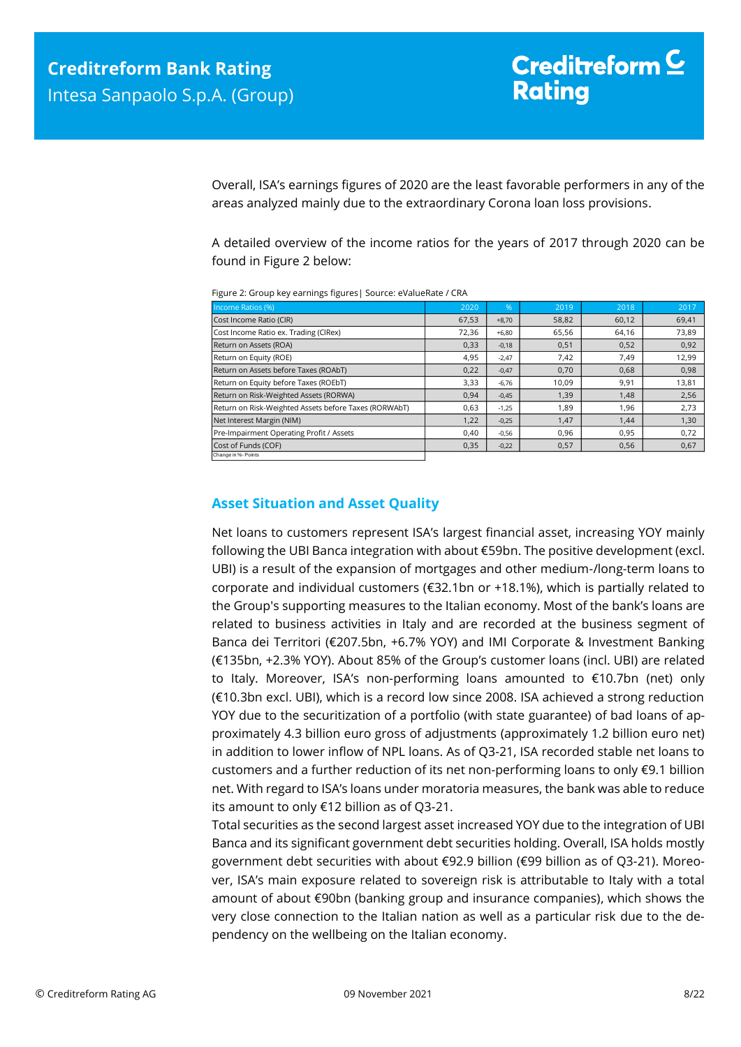Overall, ISA's earnings figures of 2020 are the least favorable performers in any of the areas analyzed mainly due to the extraordinary Corona loan loss provisions.

A detailed overview of the income ratios for the years of 2017 through 2020 can be found in Figure 2 below:

| Income Ratios (%)                                     | 2020  | %       | 2019  | 2018  | 2017  |
|-------------------------------------------------------|-------|---------|-------|-------|-------|
| Cost Income Ratio (CIR)                               | 67,53 | $+8.70$ | 58,82 | 60,12 | 69,41 |
| Cost Income Ratio ex. Trading (CIRex)                 | 72,36 | $+6,80$ | 65,56 | 64,16 | 73,89 |
| Return on Assets (ROA)                                | 0,33  | $-0,18$ | 0,51  | 0,52  | 0,92  |
| Return on Equity (ROE)                                | 4,95  | $-2.47$ | 7,42  | 7.49  | 12,99 |
| Return on Assets before Taxes (ROAbT)                 | 0,22  | $-0,47$ | 0,70  | 0,68  | 0,98  |
| Return on Equity before Taxes (ROEbT)                 | 3,33  | $-6.76$ | 10,09 | 9,91  | 13,81 |
| Return on Risk-Weighted Assets (RORWA)                | 0,94  | $-0,45$ | 1,39  | 1,48  | 2,56  |
| Return on Risk-Weighted Assets before Taxes (RORWAbT) | 0,63  | $-1,25$ | 1,89  | 1,96  | 2,73  |
| Net Interest Margin (NIM)                             | 1,22  | $-0,25$ | 1,47  | 1,44  | 1,30  |
| Pre-Impairment Operating Profit / Assets              | 0.40  | $-0,56$ | 0,96  | 0,95  | 0,72  |
| Cost of Funds (COF)                                   | 0,35  | $-0,22$ | 0,57  | 0,56  | 0,67  |
| Change in %- Points                                   |       |         |       |       |       |

Figure 2: Group key earnings figures| Source: eValueRate / CRA

### <span id="page-7-0"></span>**Asset Situation and Asset Quality**

Net loans to customers represent ISA's largest financial asset, increasing YOY mainly following the UBI Banca integration with about €59bn. The positive development (excl. UBI) is a result of the expansion of mortgages and other medium-/long-term loans to corporate and individual customers (€32.1bn or +18.1%), which is partially related to the Group's supporting measures to the Italian economy. Most of the bank's loans are related to business activities in Italy and are recorded at the business segment of Banca dei Territori (€207.5bn, +6.7% YOY) and IMI Corporate & Investment Banking (€135bn, +2.3% YOY). About 85% of the Group's customer loans (incl. UBI) are related to Italy. Moreover, ISA's non-performing loans amounted to €10.7bn (net) only (€10.3bn excl. UBI), which is a record low since 2008. ISA achieved a strong reduction YOY due to the securitization of a portfolio (with state guarantee) of bad loans of approximately 4.3 billion euro gross of adjustments (approximately 1.2 billion euro net) in addition to lower inflow of NPL loans. As of Q3-21, ISA recorded stable net loans to customers and a further reduction of its net non-performing loans to only €9.1 billion net. With regard to ISA's loans under moratoria measures, the bank was able to reduce its amount to only €12 billion as of Q3-21.

Total securities as the second largest asset increased YOY due to the integration of UBI Banca and its significant government debt securities holding. Overall, ISA holds mostly government debt securities with about €92.9 billion (€99 billion as of Q3-21). Moreover, ISA's main exposure related to sovereign risk is attributable to Italy with a total amount of about €90bn (banking group and insurance companies), which shows the very close connection to the Italian nation as well as a particular risk due to the dependency on the wellbeing on the Italian economy.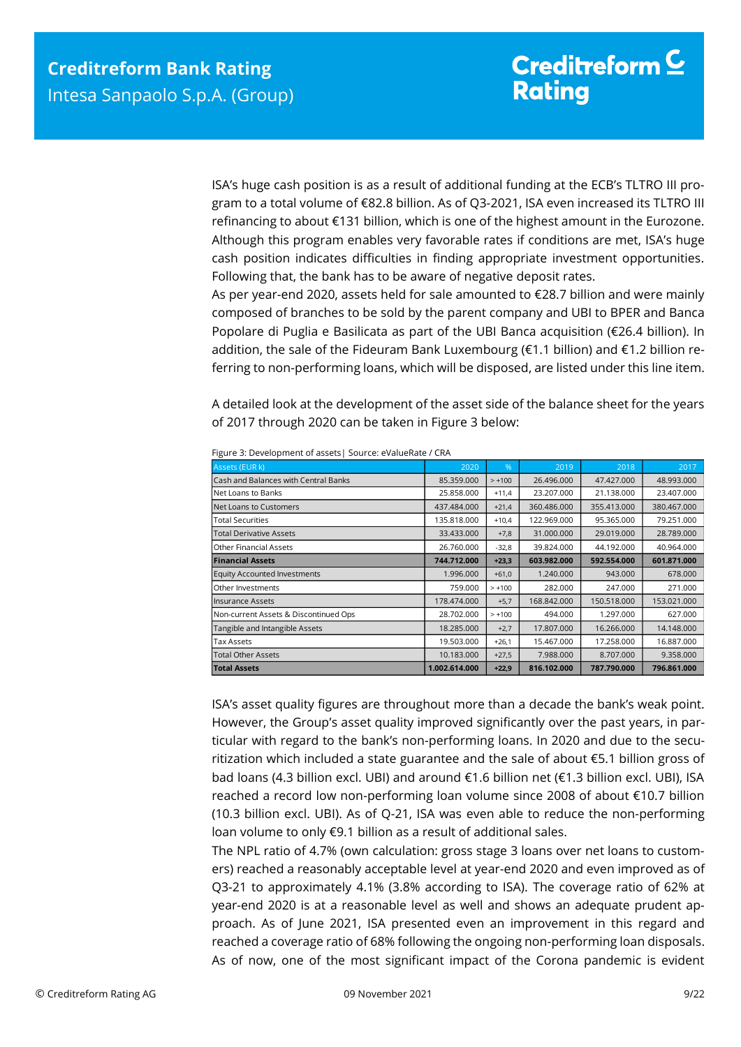ISA's huge cash position is as a result of additional funding at the ECB's TLTRO III program to a total volume of €82.8 billion. As of Q3-2021, ISA even increased its TLTRO III refinancing to about €131 billion, which is one of the highest amount in the Eurozone. Although this program enables very favorable rates if conditions are met, ISA's huge cash position indicates difficulties in finding appropriate investment opportunities. Following that, the bank has to be aware of negative deposit rates.

As per year-end 2020, assets held for sale amounted to €28.7 billion and were mainly composed of branches to be sold by the parent company and UBI to BPER and Banca Popolare di Puglia e Basilicata as part of the UBI Banca acquisition (€26.4 billion). In addition, the sale of the Fideuram Bank Luxembourg (€1.1 billion) and €1.2 billion referring to non-performing loans, which will be disposed, are listed under this line item.

A detailed look at the development of the asset side of the balance sheet for the years of 2017 through 2020 can be taken in Figure 3 below:

| Cash and Balances with Central Banks                                                        | 2020                                                                                 | %                  | 2019                                                                                   | 2018                     | 2017                     |  |  |  |  |
|---------------------------------------------------------------------------------------------|--------------------------------------------------------------------------------------|--------------------|----------------------------------------------------------------------------------------|--------------------------|--------------------------|--|--|--|--|
|                                                                                             | 85.359.000                                                                           | $> +100$           | 26.496.000                                                                             | 47.427.000               | 48.993.000               |  |  |  |  |
| Net Loans to Banks                                                                          | 25.858.000                                                                           | $+11,4$            | 23.207.000                                                                             | 21.138.000               | 23.407.000               |  |  |  |  |
| Net Loans to Customers                                                                      | 437.484.000                                                                          | $+21,4$            | 360.486.000                                                                            | 355.413.000              | 380.467.000              |  |  |  |  |
| <b>Total Securities</b>                                                                     | 135.818.000                                                                          | $+10,4$            | 122.969.000                                                                            | 95.365.000               | 79.251.000               |  |  |  |  |
| <b>Total Derivative Assets</b>                                                              | 33.433.000                                                                           | $+7,8$             | 31.000.000                                                                             | 29.019.000               | 28.789.000               |  |  |  |  |
| Other Financial Assets                                                                      | 26.760.000                                                                           | $-32,8$            | 39.824.000                                                                             | 44.192.000               | 40.964.000               |  |  |  |  |
| <b>Financial Assets</b>                                                                     | 744.712.000                                                                          | $+23,3$            | 603.982.000                                                                            | 592.554.000              | 601.871.000              |  |  |  |  |
| <b>Equity Accounted Investments</b>                                                         | 1.996.000                                                                            | $+61,0$            | 1.240.000                                                                              | 943.000                  | 678,000                  |  |  |  |  |
| Other Investments                                                                           | 759.000                                                                              | $> +100$           | 282.000                                                                                | 247.000                  | 271.000                  |  |  |  |  |
| <b>Insurance Assets</b>                                                                     | 178.474.000                                                                          | $+5,7$             | 168.842.000                                                                            | 150.518.000              | 153.021.000              |  |  |  |  |
| Non-current Assets & Discontinued Ops                                                       | 28.702.000                                                                           | $> +100$           | 494.000                                                                                | 1.297.000                | 627.000                  |  |  |  |  |
| Tangible and Intangible Assets                                                              | 18.285.000                                                                           | $+2,7$             | 17.807.000                                                                             | 16.266.000               | 14.148.000               |  |  |  |  |
| <b>Tax Assets</b>                                                                           | 19.503.000                                                                           | $+26,1$            | 15.467.000                                                                             | 17.258.000               | 16.887.000               |  |  |  |  |
| <b>Total Other Assets</b><br><b>Total Assets</b>                                            | 10.183.000<br>1.002.614.000                                                          | $+27,5$<br>$+22,9$ | 7.988.000<br>816.102.000                                                               | 8.707.000<br>787.790.000 | 9.358.000<br>796.861.000 |  |  |  |  |
|                                                                                             |                                                                                      |                    | However, the Group's asset quality improved significantly over the past years, in par- |                          |                          |  |  |  |  |
|                                                                                             | ticular with regard to the bank's non-performing loans. In 2020 and due to the secu- |                    |                                                                                        |                          |                          |  |  |  |  |
| ritization which included a state guarantee and the sale of about €5.1 billion gross of     |                                                                                      |                    |                                                                                        |                          |                          |  |  |  |  |
|                                                                                             |                                                                                      |                    |                                                                                        |                          |                          |  |  |  |  |
|                                                                                             |                                                                                      |                    |                                                                                        |                          |                          |  |  |  |  |
| bad loans (4.3 billion excl. UBI) and around €1.6 billion net (€1.3 billion excl. UBI), ISA |                                                                                      |                    |                                                                                        |                          |                          |  |  |  |  |
| reached a record low non-performing loan volume since 2008 of about €10.7 billion           |                                                                                      |                    |                                                                                        |                          |                          |  |  |  |  |
| (10.3 billion excl. UBI). As of Q-21, ISA was even able to reduce the non-performing        |                                                                                      |                    |                                                                                        |                          |                          |  |  |  |  |
|                                                                                             |                                                                                      |                    |                                                                                        |                          |                          |  |  |  |  |
| loan volume to only €9.1 billion as a result of additional sales.                           |                                                                                      |                    |                                                                                        |                          |                          |  |  |  |  |
| The NPL ratio of 4.7% (own calculation: gross stage 3 loans over net loans to custom-       |                                                                                      |                    |                                                                                        |                          |                          |  |  |  |  |
| ers) reached a reasonably acceptable level at year-end 2020 and even improved as of         |                                                                                      |                    |                                                                                        |                          |                          |  |  |  |  |
| Q3-21 to approximately 4.1% (3.8% according to ISA). The coverage ratio of 62% at           |                                                                                      |                    |                                                                                        |                          |                          |  |  |  |  |
| year-end 2020 is at a reasonable level as well and shows an adequate prudent ap-            |                                                                                      |                    |                                                                                        |                          |                          |  |  |  |  |
| proach. As of June 2021, ISA presented even an improvement in this regard and               |                                                                                      |                    |                                                                                        |                          |                          |  |  |  |  |
| reached a coverage ratio of 68% following the ongoing non-performing loan disposals.        |                                                                                      |                    |                                                                                        |                          |                          |  |  |  |  |

Figure 3: Development of assets| Source: eValueRate / CRA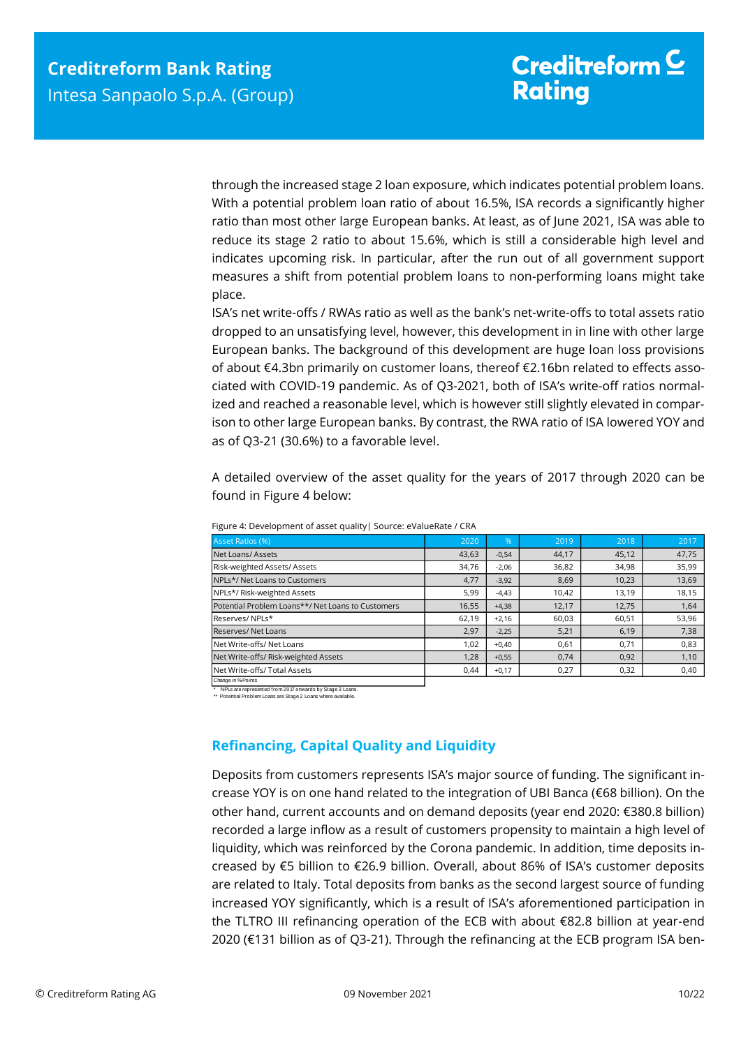through the increased stage 2 loan exposure, which indicates potential problem loans. With a potential problem loan ratio of about 16.5%, ISA records a significantly higher ratio than most other large European banks. At least, as of June 2021, ISA was able to reduce its stage 2 ratio to about 15.6%, which is still a considerable high level and indicates upcoming risk. In particular, after the run out of all government support measures a shift from potential problem loans to non-performing loans might take place.

ISA's net write-offs / RWAs ratio as well as the bank's net-write-offs to total assets ratio dropped to an unsatisfying level, however, this development in in line with other large European banks. The background of this development are huge loan loss provisions of about €4.3bn primarily on customer loans, thereof €2.16bn related to effects associated with COVID-19 pandemic. As of Q3-2021, both of ISA's write-off ratios normalized and reached a reasonable level, which is however still slightly elevated in comparison to other large European banks. By contrast, the RWA ratio of ISA lowered YOY and as of Q3-21 (30.6%) to a favorable level.

A detailed overview of the asset quality for the years of 2017 through 2020 can be found in Figure 4 below:

| Asset Ratios (%)                                  | 2020  | %       | 2019  | 2018  | 2017  |
|---------------------------------------------------|-------|---------|-------|-------|-------|
| Net Loans/Assets                                  | 43,63 | $-0,54$ | 44,17 | 45,12 | 47,75 |
| Risk-weighted Assets/Assets                       | 34,76 | $-2,06$ | 36,82 | 34,98 | 35,99 |
| NPLs*/ Net Loans to Customers                     | 4,77  | $-3,92$ | 8,69  | 10,23 | 13,69 |
| NPLs*/Risk-weighted Assets                        | 5,99  | $-4,43$ | 10,42 | 13,19 | 18,15 |
| Potential Problem Loans**/ Net Loans to Customers | 16,55 | $+4,38$ | 12,17 | 12,75 | 1,64  |
| Reserves/ NPLs*                                   | 62,19 | $+2.16$ | 60,03 | 60,51 | 53,96 |
| Reserves/Net Loans                                | 2,97  | $-2,25$ | 5,21  | 6,19  | 7,38  |
| Net Write-offs/ Net Loans                         | 1,02  | $+0,40$ | 0,61  | 0,71  | 0,83  |
| Net Write-offs/ Risk-weighted Assets              | 1,28  | $+0.55$ | 0,74  | 0.92  | 1,10  |
| Net Write-offs/ Total Assets                      | 0.44  | $+0,17$ | 0,27  | 0,32  | 0,40  |
|                                                   |       |         |       |       |       |

Figure 4: Development of asset quality| Source: eValueRate / CRA

Change in %-Points

\* NPLs are represented from 2017 onwards by Stage 3 Loans. \*\* Potential Problem Loans are Stage 2 Loans where available.

## <span id="page-9-0"></span>**Refinancing, Capital Quality and Liquidity**

Deposits from customers represents ISA's major source of funding. The significant increase YOY is on one hand related to the integration of UBI Banca (€68 billion). On the other hand, current accounts and on demand deposits (year end 2020: €380.8 billion) recorded a large inflow as a result of customers propensity to maintain a high level of liquidity, which was reinforced by the Corona pandemic. In addition, time deposits increased by €5 billion to €26.9 billion. Overall, about 86% of ISA's customer deposits are related to Italy. Total deposits from banks as the second largest source of funding increased YOY significantly, which is a result of ISA's aforementioned participation in the TLTRO III refinancing operation of the ECB with about €82.8 billion at year-end 2020 (€131 billion as of Q3-21). Through the refinancing at the ECB program ISA ben-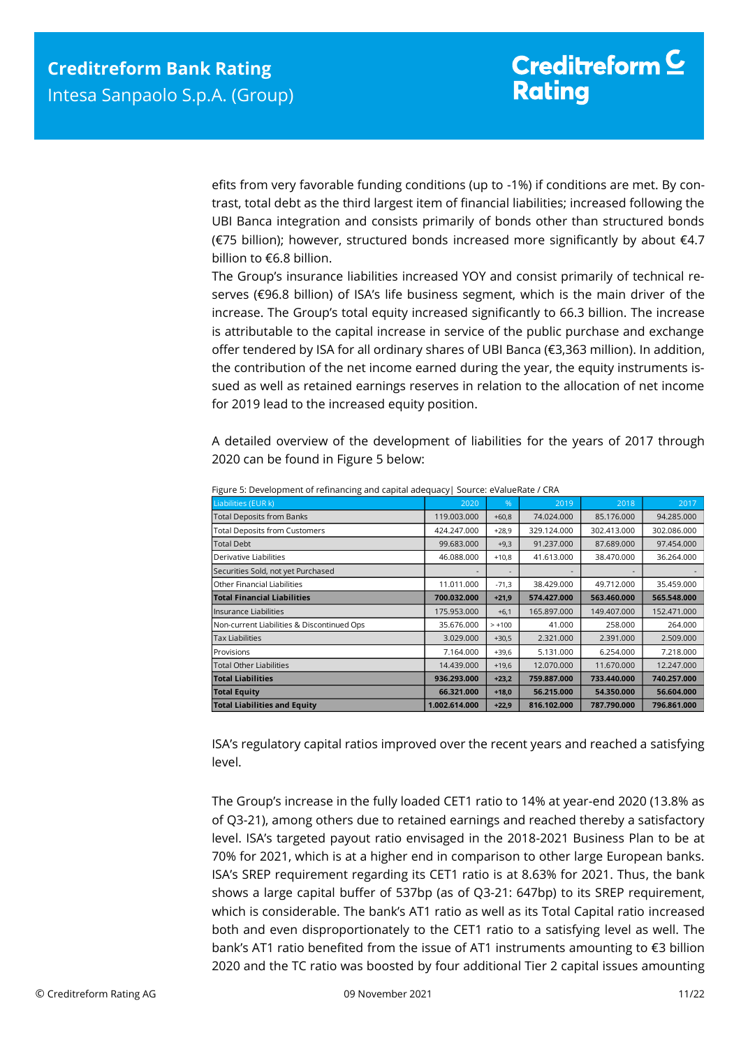efits from very favorable funding conditions (up to -1%) if conditions are met. By contrast, total debt as the third largest item of financial liabilities; increased following the UBI Banca integration and consists primarily of bonds other than structured bonds (€75 billion); however, structured bonds increased more significantly by about €4.7 billion to €6.8 billion.

The Group's insurance liabilities increased YOY and consist primarily of technical reserves (€96.8 billion) of ISA's life business segment, which is the main driver of the increase. The Group's total equity increased significantly to 66.3 billion. The increase is attributable to the capital increase in service of the public purchase and exchange offer tendered by ISA for all ordinary shares of UBI Banca (€3,363 million). In addition, the contribution of the net income earned during the year, the equity instruments issued as well as retained earnings reserves in relation to the allocation of net income for 2019 lead to the increased equity position.

A detailed overview of the development of liabilities for the years of 2017 through 2020 can be found in Figure 5 below:

| <b>Total Deposits from Banks</b>                                                                                                                                                       | 2020          | %        | 2019        | 2018        | 2017        |
|----------------------------------------------------------------------------------------------------------------------------------------------------------------------------------------|---------------|----------|-------------|-------------|-------------|
|                                                                                                                                                                                        | 119.003.000   | $+60,8$  | 74.024.000  | 85.176.000  | 94.285.000  |
| <b>Total Deposits from Customers</b>                                                                                                                                                   | 424.247.000   | $+28,9$  | 329.124.000 | 302.413.000 | 302.086.000 |
| <b>Total Debt</b>                                                                                                                                                                      | 99.683.000    | $+9,3$   | 91.237.000  | 87.689.000  | 97.454.000  |
| Derivative Liabilities                                                                                                                                                                 | 46.088.000    | $+10,8$  | 41.613.000  | 38.470.000  | 36.264.000  |
| Securities Sold, not yet Purchased                                                                                                                                                     |               |          |             |             |             |
| Other Financial Liabilities                                                                                                                                                            | 11.011.000    | $-71,3$  | 38.429.000  | 49.712.000  | 35.459.000  |
| <b>Total Financial Liabilities</b>                                                                                                                                                     | 700.032.000   | $+21,9$  | 574.427.000 | 563.460.000 | 565.548.000 |
| Insurance Liabilities                                                                                                                                                                  | 175.953.000   | $+6,1$   | 165.897.000 | 149.407.000 | 152.471.000 |
| Non-current Liabilities & Discontinued Ops                                                                                                                                             | 35.676.000    | $> +100$ | 41.000      | 258.000     | 264.000     |
| <b>Tax Liabilities</b>                                                                                                                                                                 | 3.029.000     | $+30,5$  | 2.321.000   | 2.391.000   | 2.509.000   |
| Provisions                                                                                                                                                                             | 7.164.000     | $+39,6$  | 5.131.000   | 6.254.000   | 7.218.000   |
| <b>Total Other Liabilities</b>                                                                                                                                                         | 14.439.000    | $+19,6$  | 12.070.000  | 11.670.000  | 12.247.000  |
| <b>Total Liabilities</b>                                                                                                                                                               | 936.293.000   | $+23,2$  | 759.887.000 | 733.440.000 | 740.257.000 |
| <b>Total Equity</b>                                                                                                                                                                    | 66.321.000    | $+18,0$  | 56.215.000  | 54.350.000  | 56.604.000  |
| <b>Total Liabilities and Equity</b>                                                                                                                                                    | 1.002.614.000 | $+22,9$  | 816.102.000 | 787.790.000 | 796.861.000 |
|                                                                                                                                                                                        |               |          |             |             |             |
| ISA's regulatory capital ratios improved over the recent years and reached a satisfying<br>level.                                                                                      |               |          |             |             |             |
| The Group's increase in the fully loaded CET1 ratio to 14% at year-end 2020 (13.8% as                                                                                                  |               |          |             |             |             |
| of Q3-21), among others due to retained earnings and reached thereby a satisfactory                                                                                                    |               |          |             |             |             |
| level. ISA's targeted payout ratio envisaged in the 2018-2021 Business Plan to be at                                                                                                   |               |          |             |             |             |
| 70% for 2021, which is at a higher end in comparison to other large European banks.                                                                                                    |               |          |             |             |             |
| ISA's SREP requirement regarding its CET1 ratio is at 8.63% for 2021. Thus, the bank                                                                                                   |               |          |             |             |             |
|                                                                                                                                                                                        |               |          |             |             |             |
| shows a large capital buffer of 537bp (as of Q3-21: 647bp) to its SREP requirement,                                                                                                    |               |          |             |             |             |
| which is considerable. The bank's AT1 ratio as well as its Total Capital ratio increased                                                                                               |               |          |             |             |             |
| both and even disproportionately to the CET1 ratio to a satisfying level as well. The                                                                                                  |               |          |             |             |             |
|                                                                                                                                                                                        |               |          |             |             |             |
| bank's AT1 ratio benefited from the issue of AT1 instruments amounting to $\epsilon$ 3 billion<br>2020 and the TC ratio was boosted by four additional Tier 2 capital issues amounting |               |          |             |             |             |

Figure 5: Development of refinancing and capital adequacy| Source: eValueRate / CRA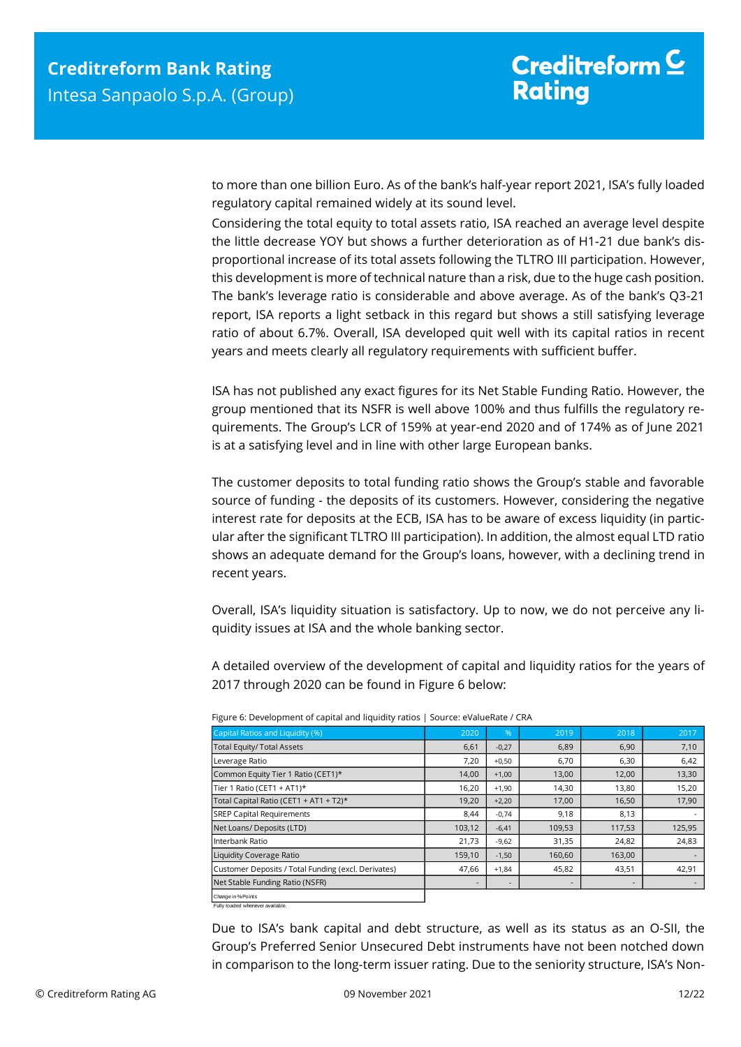to more than one billion Euro. As of the bank's half-year report 2021, ISA's fully loaded regulatory capital remained widely at its sound level.

Considering the total equity to total assets ratio, ISA reached an average level despite the little decrease YOY but shows a further deterioration as of H1-21 due bank's disproportional increase of its total assets following the TLTRO III participation. However, this development is more of technical nature than a risk, due to the huge cash position. The bank's leverage ratio is considerable and above average. As of the bank's Q3-21 report, ISA reports a light setback in this regard but shows a still satisfying leverage ratio of about 6.7%. Overall, ISA developed quit well with its capital ratios in recent years and meets clearly all regulatory requirements with sufficient buffer.

ISA has not published any exact figures for its Net Stable Funding Ratio. However, the group mentioned that its NSFR is well above 100% and thus fulfills the regulatory requirements. The Group's LCR of 159% at year-end 2020 and of 174% as of June 2021 is at a satisfying level and in line with other large European banks.

The customer deposits to total funding ratio shows the Group's stable and favorable source of funding - the deposits of its customers. However, considering the negative interest rate for deposits at the ECB, ISA has to be aware of excess liquidity (in particular after the significant TLTRO III participation). In addition, the almost equal LTD ratio shows an adequate demand for the Group's loans, however, with a declining trend in recent years.

Overall, ISA's liquidity situation is satisfactory. Up to now, we do not perceive any liquidity issues at ISA and the whole banking sector.

A detailed overview of the development of capital and liquidity ratios for the years of 2017 through 2020 can be found in Figure 6 below:

| Capital Ratios and Liquidity (%)                    | 2020                     | 96'                      | 2019   | 2018                     | 2017   |
|-----------------------------------------------------|--------------------------|--------------------------|--------|--------------------------|--------|
| <b>Total Equity/ Total Assets</b>                   | 6,61                     | $-0,27$                  | 6,89   | 6,90                     | 7,10   |
| Leverage Ratio                                      | 7,20                     | $+0,50$                  | 6,70   | 6,30                     | 6,42   |
| Common Equity Tier 1 Ratio (CET1)*                  | 14,00                    | $+1,00$                  | 13,00  | 12,00                    | 13,30  |
| Tier 1 Ratio (CET1 + AT1)*                          | 16,20                    | $+1,90$                  | 14,30  | 13,80                    | 15,20  |
| Total Capital Ratio (CET1 + AT1 + T2)*              | 19,20                    | $+2,20$                  | 17,00  | 16,50                    | 17,90  |
| <b>SREP Capital Requirements</b>                    | 8,44                     | $-0,74$                  | 9,18   | 8,13                     |        |
| Net Loans/ Deposits (LTD)                           | 103,12                   | $-6,41$                  | 109,53 | 117,53                   | 125,95 |
| Interbank Ratio                                     | 21,73                    | $-9,62$                  | 31,35  | 24,82                    | 24,83  |
| <b>Liquidity Coverage Ratio</b>                     | 159,10                   | $-1,50$                  | 160,60 | 163,00                   |        |
| Customer Deposits / Total Funding (excl. Derivates) | 47,66                    | $+1,84$                  | 45,82  | 43,51                    | 42,91  |
| Net Stable Funding Ratio (NSFR)                     | $\overline{\phantom{0}}$ | $\overline{\phantom{a}}$ |        | $\overline{\phantom{a}}$ |        |
|                                                     |                          |                          |        |                          |        |

Figure 6: Development of capital and liquidity ratios | Source: eValueRate / CRA

Change in %-Points Fully loaded whenever available.

Due to ISA's bank capital and debt structure, as well as its status as an O-SII, the Group's Preferred Senior Unsecured Debt instruments have not been notched down in comparison to the long-term issuer rating. Due to the seniority structure, ISA's Non-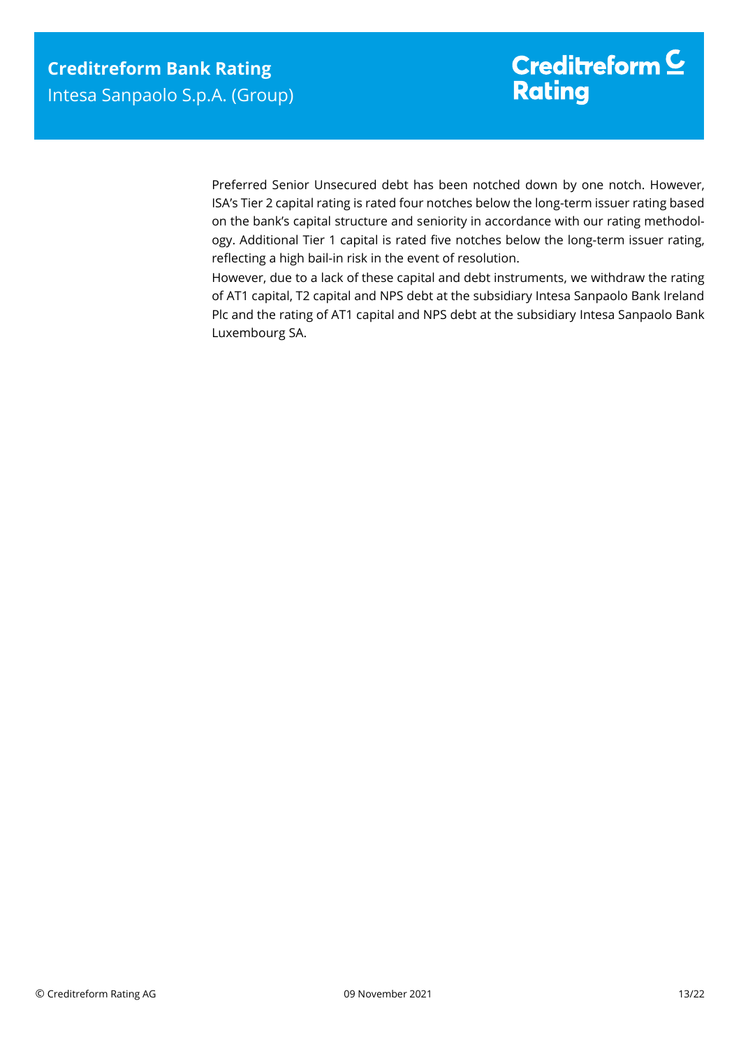Preferred Senior Unsecured debt has been notched down by one notch. However, ISA's Tier 2 capital rating is rated four notches below the long-term issuer rating based on the bank's capital structure and seniority in accordance with our rating methodology. Additional Tier 1 capital is rated five notches below the long-term issuer rating, reflecting a high bail-in risk in the event of resolution.

However, due to a lack of these capital and debt instruments, we withdraw the rating of AT1 capital, T2 capital and NPS debt at the subsidiary Intesa Sanpaolo Bank Ireland Plc and the rating of AT1 capital and NPS debt at the subsidiary Intesa Sanpaolo Bank Luxembourg SA.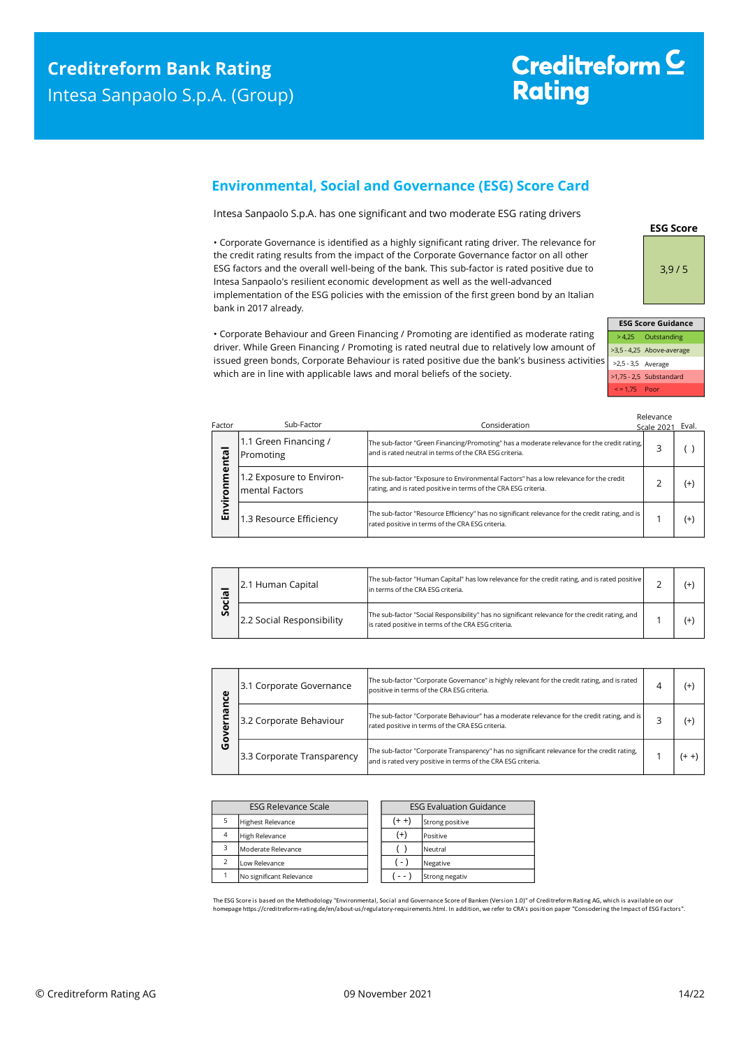# Creditreform<sup>C</sup> **Rating**

### <span id="page-13-0"></span>**Environmental, Social and Governance (ESG) Score Card**

Intesa Sanpaolo S.p.A. has one significant and two moderate ESG rating drivers

• Corporate Governance is identified as a highly significant rating driver. The relevance for the credit rating results from the impact of the Corporate Governance factor on all other ESG factors and the overall well-being of the bank. This sub-factor is rated positive due to Intesa Sanpaolo's resilient economic development as well as the well-advanced implementation of the ESG policies with the emission of the first green bond by an Italian bank in 2017 already.



3,9 / 5

**ESG Score**

|    |                    | <b>ESG Score Guidance</b> |
|----|--------------------|---------------------------|
|    |                    | > 4,25 Outstanding        |
|    |                    | >3,5 - 4,25 Above-average |
| 5. | >2,5 - 3,5 Average |                           |
|    |                    | >1,75 - 2,5 Substandard   |
|    | $\le$ = 1.75 Poor  |                           |

Relevance

| Factor      | Sub-Factor                                 | Consideration                                                                                                                                            | Scale 202 | Eval.    |
|-------------|--------------------------------------------|----------------------------------------------------------------------------------------------------------------------------------------------------------|-----------|----------|
| ntal        | 1.1 Green Financing /<br>Promoting         | The sub-factor "Green Financing/Promoting" has a moderate relevance for the credit rating,<br>and is rated neutral in terms of the CRA ESG criteria.     |           |          |
| ี<br>E<br>ā | 1.2 Exposure to Environ-<br>mental Factors | The sub-factor "Exposure to Environmental Factors" has a low relevance for the credit<br>rating, and is rated positive in terms of the CRA ESG criteria. |           | $^{(+)}$ |
| Σ<br>両      | 1.3 Resource Efficiency                    | The sub-factor "Resource Efficiency" has no significant relevance for the credit rating, and is<br>rated positive in terms of the CRA ESG criteria.      |           | $^{(+)}$ |

| Ω. | 2.1 Human Capital         | The sub-factor "Human Capital" has low relevance for the credit rating, and is rated positive<br>lin terms of the CRA ESG criteria.                   |  |
|----|---------------------------|-------------------------------------------------------------------------------------------------------------------------------------------------------|--|
| တိ | 2.2 Social Responsibility | The sub-factor "Social Responsibility" has no significant relevance for the credit rating, and<br>is rated positive in terms of the CRA ESG criteria. |  |

| ω<br>o<br>O | The sub-factor "Corporate Governance" is highly relevant for the credit rating, and is rated<br>3.1 Corporate Governance<br>positive in terms of the CRA ESG criteria. |                                                                                                                                                             |    |
|-------------|------------------------------------------------------------------------------------------------------------------------------------------------------------------------|-------------------------------------------------------------------------------------------------------------------------------------------------------------|----|
|             | 3.2 Corporate Behaviour                                                                                                                                                | The sub-factor "Corporate Behaviour" has a moderate relevance for the credit rating, and is<br>rated positive in terms of the CRA ESG criteria.             | (+ |
|             | 3.3 Corporate Transparency                                                                                                                                             | The sub-factor "Corporate Transparency" has no significant relevance for the credit rating,<br>and is rated very positive in terms of the CRA ESG criteria. |    |

| <b>ESG Relevance Scale</b> |                          | <b>ESG Evaluation Guidance</b> |                 |
|----------------------------|--------------------------|--------------------------------|-----------------|
|                            | <b>Highest Relevance</b> | $(+ +)$                        | Strong positive |
| $\overline{4}$             | <b>High Relevance</b>    | $^{(+)}$                       | Positive        |
| 3                          | Moderate Relevance       |                                | Neutral         |
| $\overline{\phantom{a}}$   | Low Relevance            | ( - )                          | Negative        |
|                            | No significant Relevance |                                | Strong negativ  |

The ESG Score is based on the Methodology "Environmental, Social and Governance Score of Banken (Version 1.0)" of Creditreform Rating AG, which is available on our<br>homepage https://creditreform-rating.de/en/about-us/regula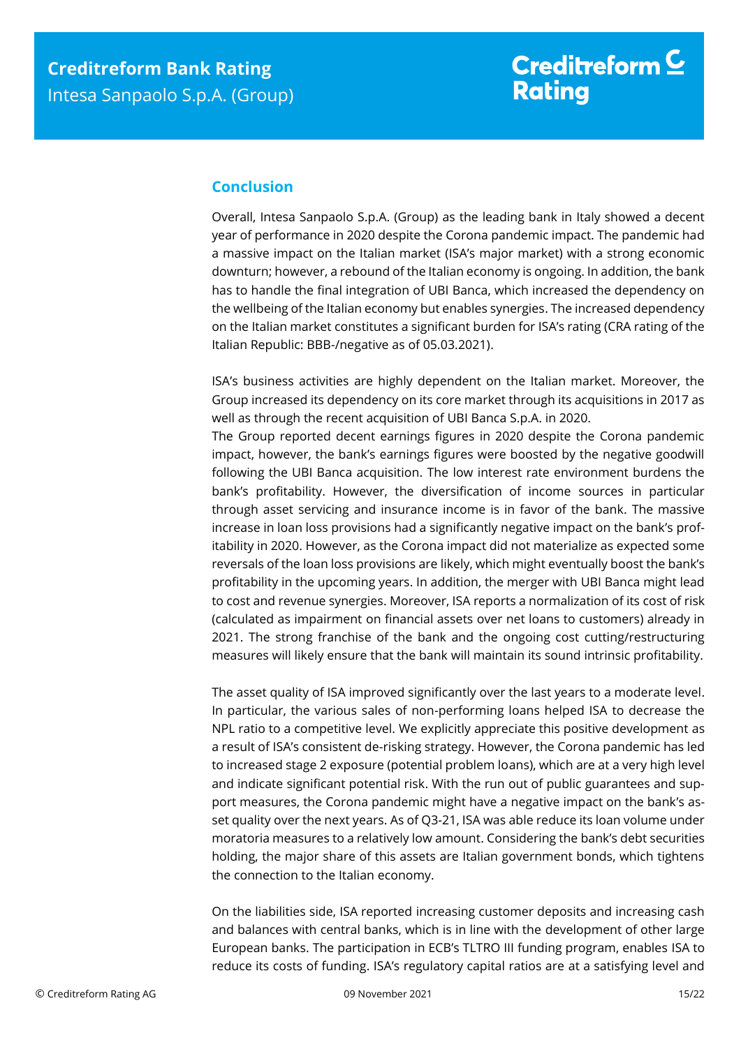## <span id="page-14-0"></span>**Conclusion**

Overall, Intesa Sanpaolo S.p.A. (Group) as the leading bank in Italy showed a decent year of performance in 2020 despite the Corona pandemic impact. The pandemic had a massive impact on the Italian market (ISA's major market) with a strong economic downturn; however, a rebound of the Italian economy is ongoing. In addition, the bank has to handle the final integration of UBI Banca, which increased the dependency on the wellbeing of the Italian economy but enables synergies. The increased dependency on the Italian market constitutes a significant burden for ISA's rating (CRA rating of the Italian Republic: BBB-/negative as of 05.03.2021).

ISA's business activities are highly dependent on the Italian market. Moreover, the Group increased its dependency on its core market through its acquisitions in 2017 as well as through the recent acquisition of UBI Banca S.p.A. in 2020.

The Group reported decent earnings figures in 2020 despite the Corona pandemic impact, however, the bank's earnings figures were boosted by the negative goodwill following the UBI Banca acquisition. The low interest rate environment burdens the bank's profitability. However, the diversification of income sources in particular through asset servicing and insurance income is in favor of the bank. The massive increase in loan loss provisions had a significantly negative impact on the bank's profitability in 2020. However, as the Corona impact did not materialize as expected some reversals of the loan loss provisions are likely, which might eventually boost the bank's profitability in the upcoming years. In addition, the merger with UBI Banca might lead to cost and revenue synergies. Moreover, ISA reports a normalization of its cost of risk (calculated as impairment on financial assets over net loans to customers) already in 2021. The strong franchise of the bank and the ongoing cost cutting/restructuring measures will likely ensure that the bank will maintain its sound intrinsic profitability.

The asset quality of ISA improved significantly over the last years to a moderate level. In particular, the various sales of non-performing loans helped ISA to decrease the NPL ratio to a competitive level. We explicitly appreciate this positive development as a result of ISA's consistent de-risking strategy. However, the Corona pandemic has led to increased stage 2 exposure (potential problem loans), which are at a very high level and indicate significant potential risk. With the run out of public guarantees and support measures, the Corona pandemic might have a negative impact on the bank's asset quality over the next years. As of Q3-21, ISA was able reduce its loan volume under moratoria measures to a relatively low amount. Considering the bank's debt securities holding, the major share of this assets are Italian government bonds, which tightens the connection to the Italian economy.

On the liabilities side, ISA reported increasing customer deposits and increasing cash and balances with central banks, which is in line with the development of other large European banks. The participation in ECB's TLTRO III funding program, enables ISA to reduce its costs of funding. ISA's regulatory capital ratios are at a satisfying level and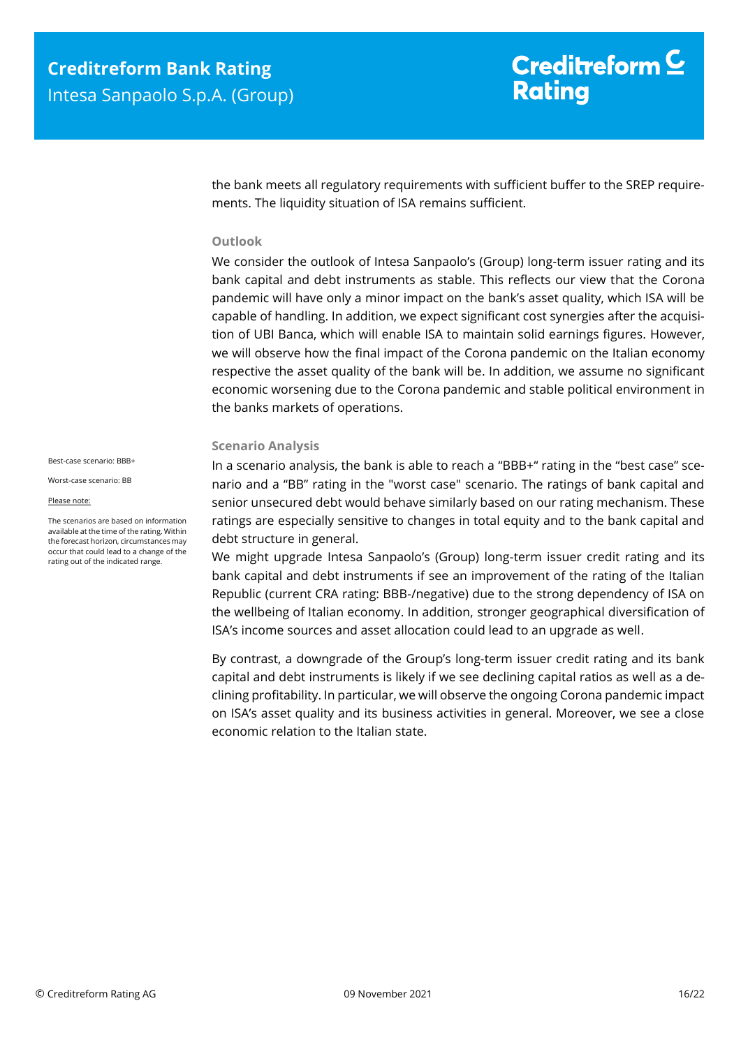# Creditreform  $\mathsf{\underline{C}}$ **Rating**

the bank meets all regulatory requirements with sufficient buffer to the SREP requirements. The liquidity situation of ISA remains sufficient.

#### **Outlook**

We consider the outlook of Intesa Sanpaolo's (Group) long-term issuer rating and its bank capital and debt instruments as stable. This reflects our view that the Corona pandemic will have only a minor impact on the bank's asset quality, which ISA will be capable of handling. In addition, we expect significant cost synergies after the acquisition of UBI Banca, which will enable ISA to maintain solid earnings figures. However, we will observe how the final impact of the Corona pandemic on the Italian economy respective the asset quality of the bank will be. In addition, we assume no significant economic worsening due to the Corona pandemic and stable political environment in the banks markets of operations.

#### **Scenario Analysis**

In a scenario analysis, the bank is able to reach a "BBB+" rating in the "best case" scenario and a "BB" rating in the "worst case" scenario. The ratings of bank capital and senior unsecured debt would behave similarly based on our rating mechanism. These ratings are especially sensitive to changes in total equity and to the bank capital and debt structure in general.

We might upgrade Intesa Sanpaolo's (Group) long-term issuer credit rating and its bank capital and debt instruments if see an improvement of the rating of the Italian Republic (current CRA rating: BBB-/negative) due to the strong dependency of ISA on the wellbeing of Italian economy. In addition, stronger geographical diversification of ISA's income sources and asset allocation could lead to an upgrade as well.

By contrast, a downgrade of the Group's long-term issuer credit rating and its bank capital and debt instruments is likely if we see declining capital ratios as well as a declining profitability. In particular, we will observe the ongoing Corona pandemic impact on ISA's asset quality and its business activities in general. Moreover, we see a close economic relation to the Italian state.

Best-case scenario: BBB+

Worst-case scenario: BB

Please note:

The scenarios are based on information available at the time of the rating. Within the forecast horizon, circumstances may occur that could lead to a change of the rating out of the indicated range.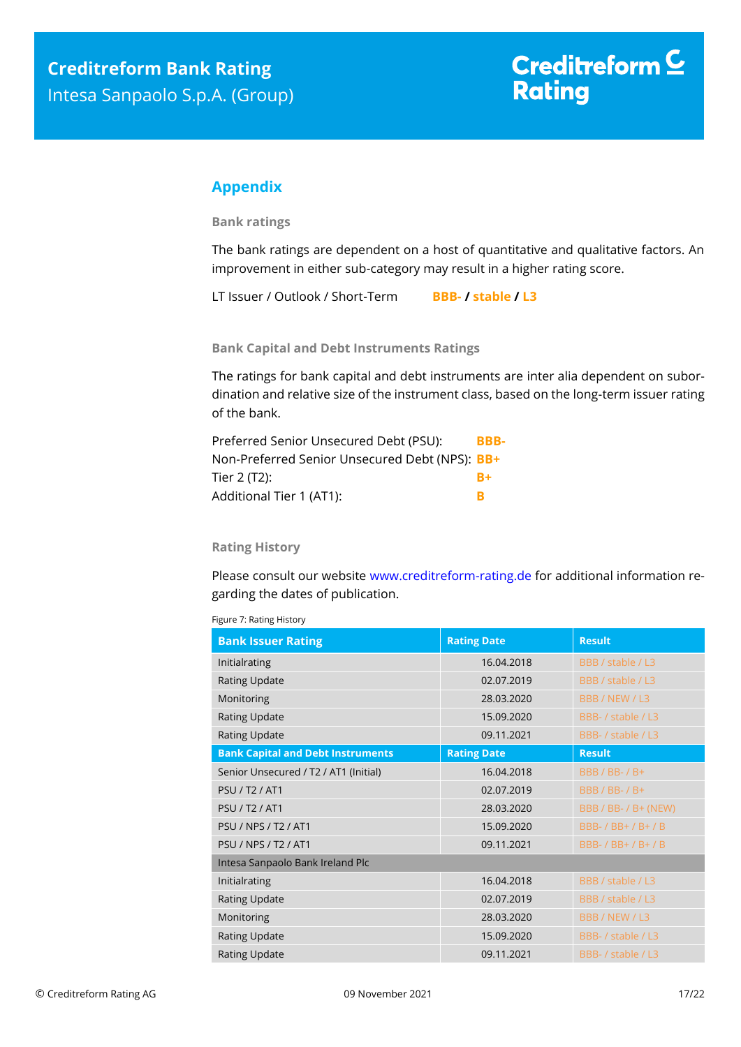## <span id="page-16-0"></span>**Appendix**

**Bank ratings**

The bank ratings are dependent on a host of quantitative and qualitative factors. An improvement in either sub-category may result in a higher rating score.

LT Issuer / Outlook / Short-Term **BBB- / stable / L3**

**Bank Capital and Debt Instruments Ratings**

The ratings for bank capital and debt instruments are inter alia dependent on subordination and relative size of the instrument class, based on the long-term issuer rating of the bank.

| Preferred Senior Unsecured Debt (PSU):         | BBB- |
|------------------------------------------------|------|
| Non-Preferred Senior Unsecured Debt (NPS): BB+ |      |
| Tier 2 (T2):                                   | $R+$ |
| Additional Tier 1 (AT1):                       |      |

#### **Rating History**

Please consult our website [www.creditreform-rating.de](http://www.creditreform-rating.de/) for additional information regarding the dates of publication.

Figure 7: Rating History

| <b>Bank Issuer Rating</b>                | <b>Rating Date</b> | <b>Result</b>         |  |  |
|------------------------------------------|--------------------|-----------------------|--|--|
| Initialrating                            | 16.04.2018         | BBB / stable / L3     |  |  |
| <b>Rating Update</b>                     | 02.07.2019         | BBB / stable / L3     |  |  |
| Monitoring                               | 28.03.2020         | BBB / NEW / L3        |  |  |
| <b>Rating Update</b>                     | 15.09.2020         | BBB- / stable / L3    |  |  |
| <b>Rating Update</b>                     | 09.11.2021         | BBB- / stable / L3    |  |  |
| <b>Bank Capital and Debt Instruments</b> | <b>Rating Date</b> | <b>Result</b>         |  |  |
| Senior Unsecured / T2 / AT1 (Initial)    | 16.04.2018         | <b>BBB / BB- / B+</b> |  |  |
| <b>PSU / T2 / AT1</b>                    | 02.07.2019         | <b>BBB / BB- / B+</b> |  |  |
| <b>PSU / T2 / AT1</b>                    | 28.03.2020         | BBB / BB- / B+ (NEW)  |  |  |
| <b>PSU / NPS / T2 / AT1</b>              | 15.09.2020         | BBB- / BB+ / B+ / B   |  |  |
| <b>PSU / NPS / T2 / AT1</b>              | 09.11.2021         | BBB- / BB+ / B+ / B   |  |  |
| Intesa Sanpaolo Bank Ireland Plc         |                    |                       |  |  |
| Initialrating                            | 16.04.2018         | BBB / stable / L3     |  |  |
| <b>Rating Update</b>                     | 02.07.2019         | BBB / stable / L3     |  |  |
| Monitoring                               | 28.03.2020         | BBB / NEW / L3        |  |  |
| <b>Rating Update</b>                     | 15.09.2020         | BBB- / stable / L3    |  |  |
| <b>Rating Update</b>                     | 09.11.2021         | BBB- / stable / L3    |  |  |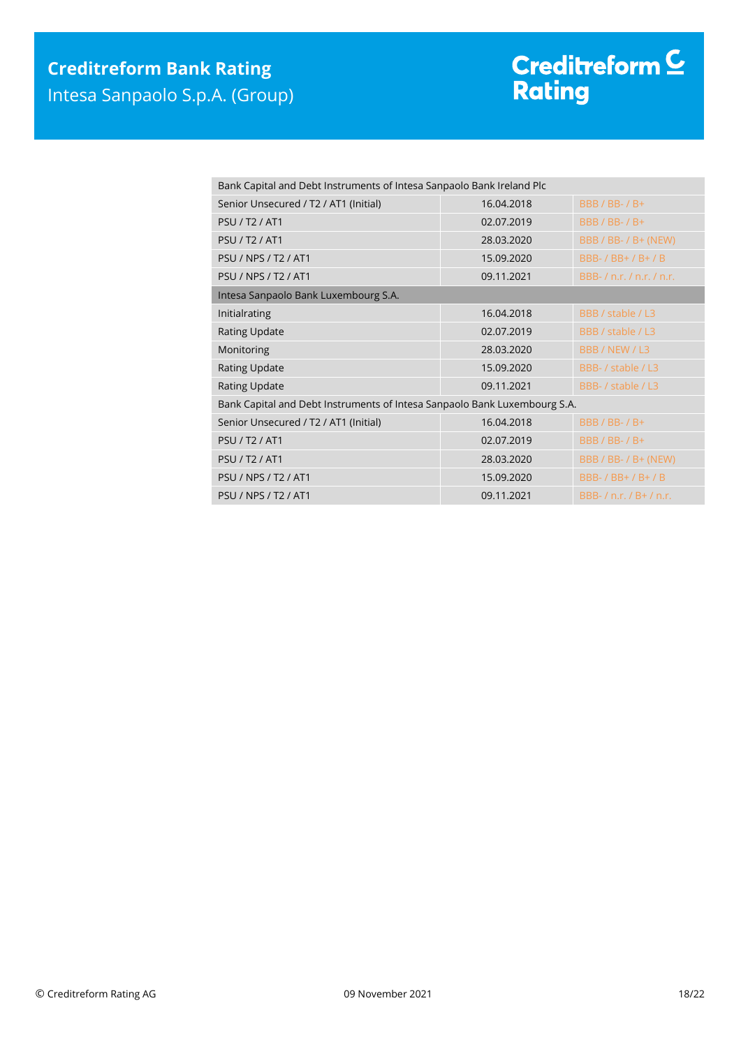| Bank Capital and Debt Instruments of Intesa Sanpaolo Bank Ireland Plc     |                               |  |  |  |
|---------------------------------------------------------------------------|-------------------------------|--|--|--|
| 16.04.2018                                                                | <b>BBB / BB- / B+</b>         |  |  |  |
| 02.07.2019                                                                | <b>BBB / BB- / B+</b>         |  |  |  |
| 28.03.2020                                                                | BBB / BB- / B+ (NEW)          |  |  |  |
| 15.09.2020                                                                | BBB- / BB+ / B+ / B           |  |  |  |
| 09.11.2021                                                                | BBB-/n.r./n.r./n.r.           |  |  |  |
| Intesa Sanpaolo Bank Luxembourg S.A.                                      |                               |  |  |  |
| 16.04.2018                                                                | BBB / stable / L3             |  |  |  |
| 02.07.2019                                                                | BBB / stable / L3             |  |  |  |
| 28.03.2020                                                                | BBB / NEW / L3                |  |  |  |
| 15.09.2020                                                                | BBB- / stable / L3            |  |  |  |
| 09.11.2021                                                                | BBB- / stable / L3            |  |  |  |
| Bank Capital and Debt Instruments of Intesa Sanpaolo Bank Luxembourg S.A. |                               |  |  |  |
| 16.04.2018                                                                | <b>BBB / BB- / B+</b>         |  |  |  |
| 02.07.2019                                                                | <b>BBB / BB- / B+</b>         |  |  |  |
| 28.03.2020                                                                | BBB / BB- / B+ (NEW)          |  |  |  |
| 15.09.2020                                                                | BBB- / BB+ / B+ / B           |  |  |  |
| 09.11.2021                                                                | BBB- $/$ n.r. $/$ B+ $/$ n.r. |  |  |  |
|                                                                           |                               |  |  |  |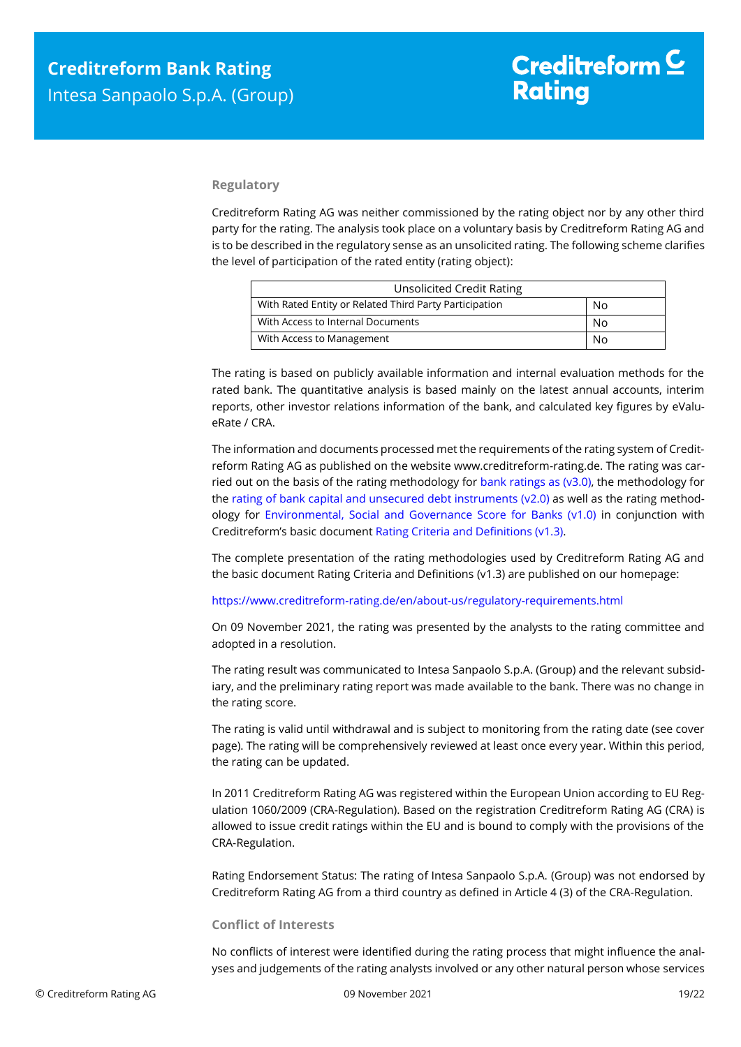#### **Regulatory**

Creditreform Rating AG was neither commissioned by the rating object nor by any other third party for the rating. The analysis took place on a voluntary basis by Creditreform Rating AG and is to be described in the regulatory sense as an unsolicited rating. The following scheme clarifies the level of participation of the rated entity (rating object):

| <b>Unsolicited Credit Rating</b>                       |    |
|--------------------------------------------------------|----|
| With Rated Entity or Related Third Party Participation | No |
| With Access to Internal Documents                      | No |
| With Access to Management                              | No |

The rating is based on publicly available information and internal evaluation methods for the rated bank. The quantitative analysis is based mainly on the latest annual accounts, interim reports, other investor relations information of the bank, and calculated key figures by eValueRate / CRA.

The information and documents processed met the requirements of the rating system of Creditreform Rating AG as published on the website www.creditreform-rating.de. The rating was carried out on the basis of the rating methodology for [bank ratings as \(v3.0\),](https://www.creditreform-rating.de/en/about-us/regulatory-requirements.html?file=files/content/downloads/Externes%20Rating/Regulatorische%20Anforderungen/EN/Ratingmethodiken%20EN/Rating%20Methodology%20Bank%20Ratings%20v3.0.pdf) the methodology for the [rating of bank capital and unsecured debt instruments \(v2.0\)](https://www.creditreform-rating.de/en/about-us/regulatory-requirements.html?file=files/content/downloads/Externes%20Rating/Regulatorische%20Anforderungen/EN/Ratingmethodiken%20EN/Bank%20Capital%20and%20Unsecured%20Debt%20Instruments%20Methodology.pdf) as well as the rating methodology for [Environmental, Social and Governance Score for Banks \(v1.0\)](https://www.creditreform-rating.de/en/about-us/regulatory-requirements.html?file=files/content/downloads/Externes%20Rating/Regulatorische%20Anforderungen/EN/Ratingmethodiken%20EN/Rating%20Methodology%20ESG%20v1.0.pdf) in conjunction with Creditreform's basic document [Rating Criteria and Definitions \(v1.3\).](https://www.creditreform-rating.de/en/about-us/regulatory-requirements.html?file=files/content/downloads/Externes%20Rating/Regulatorische%20Anforderungen/EN/Ratingmethodiken%20EN/CRAG%20Rating%20Criteria%20and%20Definitions.pdf)

The complete presentation of the rating methodologies used by Creditreform Rating AG and the basic document Rating Criteria and Definitions (v1.3) are published on our homepage:

<https://www.creditreform-rating.de/en/about-us/regulatory-requirements.html>

On 09 November 2021, the rating was presented by the analysts to the rating committee and adopted in a resolution.

The rating result was communicated to Intesa Sanpaolo S.p.A. (Group) and the relevant subsidiary, and the preliminary rating report was made available to the bank. There was no change in the rating score.

The rating is valid until withdrawal and is subject to monitoring from the rating date (see cover page). The rating will be comprehensively reviewed at least once every year. Within this period, the rating can be updated.

In 2011 Creditreform Rating AG was registered within the European Union according to EU Regulation 1060/2009 (CRA-Regulation). Based on the registration Creditreform Rating AG (CRA) is allowed to issue credit ratings within the EU and is bound to comply with the provisions of the CRA-Regulation.

Rating Endorsement Status: The rating of Intesa Sanpaolo S.p.A. (Group) was not endorsed by Creditreform Rating AG from a third country as defined in Article 4 (3) of the CRA-Regulation.

#### **Conflict of Interests**

No conflicts of interest were identified during the rating process that might influence the analyses and judgements of the rating analysts involved or any other natural person whose services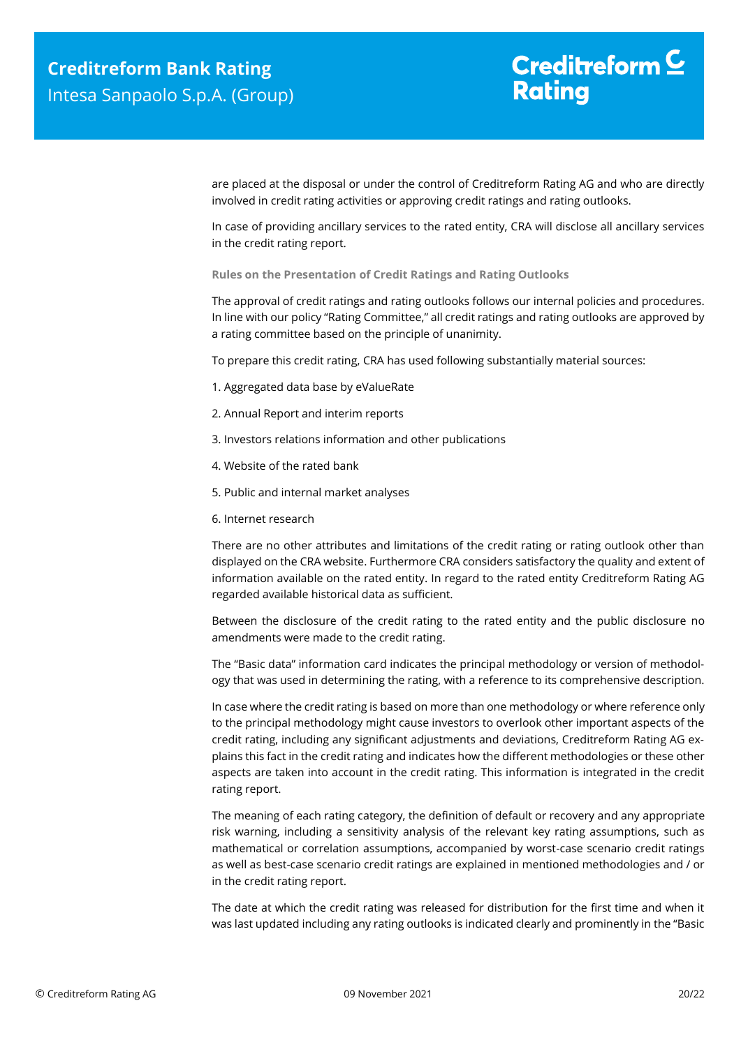# Creditreform  $\mathsf{\underline{\mathsf{C}}}$ **Rating**

are placed at the disposal or under the control of Creditreform Rating AG and who are directly involved in credit rating activities or approving credit ratings and rating outlooks.

In case of providing ancillary services to the rated entity, CRA will disclose all ancillary services in the credit rating report.

**Rules on the Presentation of Credit Ratings and Rating Outlooks**

The approval of credit ratings and rating outlooks follows our internal policies and procedures. In line with our policy "Rating Committee," all credit ratings and rating outlooks are approved by a rating committee based on the principle of unanimity.

To prepare this credit rating, CRA has used following substantially material sources:

- 1. Aggregated data base by eValueRate
- 2. Annual Report and interim reports
- 3. Investors relations information and other publications
- 4. Website of the rated bank
- 5. Public and internal market analyses
- 6. Internet research

There are no other attributes and limitations of the credit rating or rating outlook other than displayed on the CRA website. Furthermore CRA considers satisfactory the quality and extent of information available on the rated entity. In regard to the rated entity Creditreform Rating AG regarded available historical data as sufficient.

Between the disclosure of the credit rating to the rated entity and the public disclosure no amendments were made to the credit rating.

The "Basic data" information card indicates the principal methodology or version of methodology that was used in determining the rating, with a reference to its comprehensive description.

In case where the credit rating is based on more than one methodology or where reference only to the principal methodology might cause investors to overlook other important aspects of the credit rating, including any significant adjustments and deviations, Creditreform Rating AG explains this fact in the credit rating and indicates how the different methodologies or these other aspects are taken into account in the credit rating. This information is integrated in the credit rating report.

The meaning of each rating category, the definition of default or recovery and any appropriate risk warning, including a sensitivity analysis of the relevant key rating assumptions, such as mathematical or correlation assumptions, accompanied by worst-case scenario credit ratings as well as best-case scenario credit ratings are explained in mentioned methodologies and / or in the credit rating report.

The date at which the credit rating was released for distribution for the first time and when it was last updated including any rating outlooks is indicated clearly and prominently in the "Basic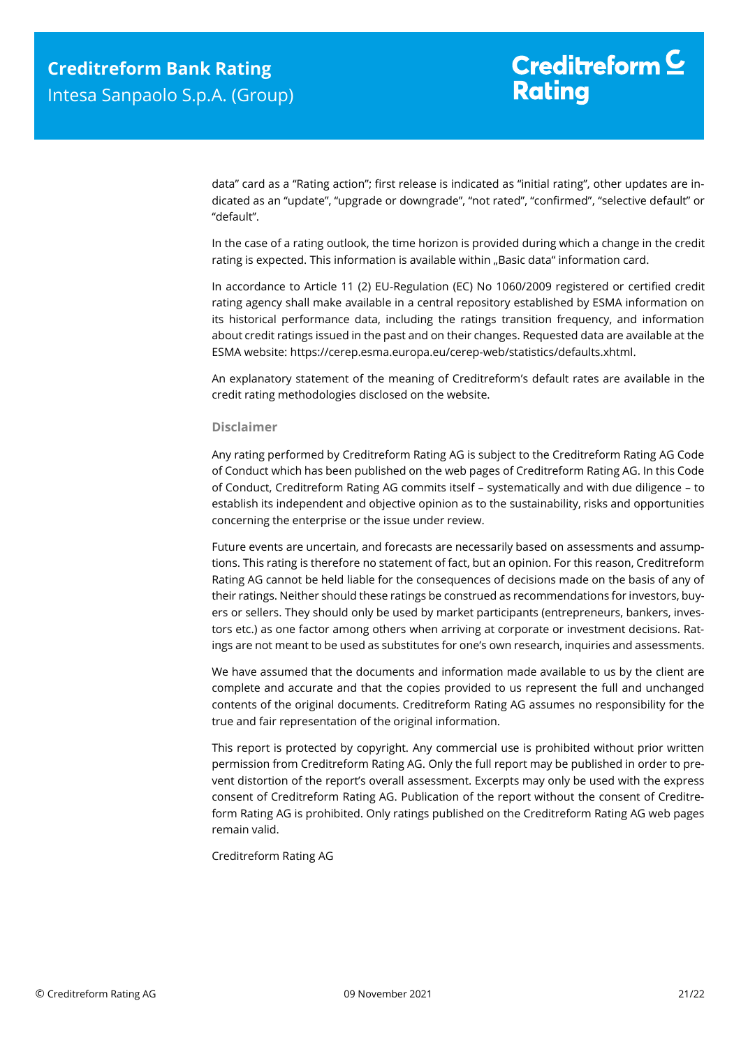data" card as a "Rating action"; first release is indicated as "initial rating", other updates are indicated as an "update", "upgrade or downgrade", "not rated", "confirmed", "selective default" or "default".

In the case of a rating outlook, the time horizon is provided during which a change in the credit rating is expected. This information is available within "Basic data" information card.

In accordance to Article 11 (2) EU-Regulation (EC) No 1060/2009 registered or certified credit rating agency shall make available in a central repository established by ESMA information on its historical performance data, including the ratings transition frequency, and information about credit ratings issued in the past and on their changes. Requested data are available at the ESMA website: https://cerep.esma.europa.eu/cerep-web/statistics/defaults.xhtml.

An explanatory statement of the meaning of Creditreform's default rates are available in the credit rating methodologies disclosed on the website.

#### **Disclaimer**

Any rating performed by Creditreform Rating AG is subject to the Creditreform Rating AG Code of Conduct which has been published on the web pages of Creditreform Rating AG. In this Code of Conduct, Creditreform Rating AG commits itself – systematically and with due diligence – to establish its independent and objective opinion as to the sustainability, risks and opportunities concerning the enterprise or the issue under review.

Future events are uncertain, and forecasts are necessarily based on assessments and assumptions. This rating is therefore no statement of fact, but an opinion. For this reason, Creditreform Rating AG cannot be held liable for the consequences of decisions made on the basis of any of their ratings. Neither should these ratings be construed as recommendations for investors, buyers or sellers. They should only be used by market participants (entrepreneurs, bankers, investors etc.) as one factor among others when arriving at corporate or investment decisions. Ratings are not meant to be used as substitutes for one's own research, inquiries and assessments.

We have assumed that the documents and information made available to us by the client are complete and accurate and that the copies provided to us represent the full and unchanged contents of the original documents. Creditreform Rating AG assumes no responsibility for the true and fair representation of the original information.

This report is protected by copyright. Any commercial use is prohibited without prior written permission from Creditreform Rating AG. Only the full report may be published in order to prevent distortion of the report's overall assessment. Excerpts may only be used with the express consent of Creditreform Rating AG. Publication of the report without the consent of Creditreform Rating AG is prohibited. Only ratings published on the Creditreform Rating AG web pages remain valid.

Creditreform Rating AG